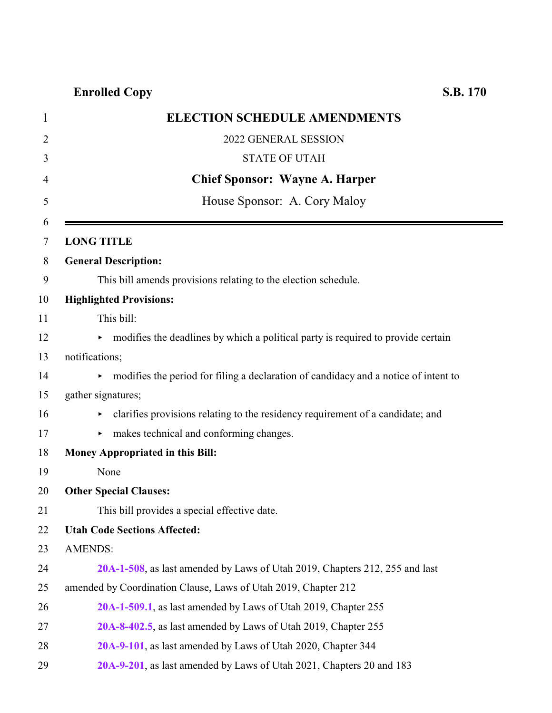| $\mathbf{1}$ | <b>ELECTION SCHEDULE AMENDMENTS</b>                                                 |
|--------------|-------------------------------------------------------------------------------------|
| 2            | 2022 GENERAL SESSION                                                                |
| 3            | <b>STATE OF UTAH</b>                                                                |
| 4            | <b>Chief Sponsor: Wayne A. Harper</b>                                               |
| 5            | House Sponsor: A. Cory Maloy                                                        |
| 6            |                                                                                     |
| 7            | <b>LONG TITLE</b>                                                                   |
| 8            | <b>General Description:</b>                                                         |
| 9            | This bill amends provisions relating to the election schedule.                      |
| 10           | <b>Highlighted Provisions:</b>                                                      |
| 11           | This bill:                                                                          |
| 12           | • modifies the deadlines by which a political party is required to provide certain  |
| 13           | notifications;                                                                      |
| 14           | modifies the period for filing a declaration of candidacy and a notice of intent to |
| 15           | gather signatures;                                                                  |
| 16           | clarifies provisions relating to the residency requirement of a candidate; and      |
| 17           | makes technical and conforming changes.                                             |
| 18           | Money Appropriated in this Bill:                                                    |
| 19           | None                                                                                |
| 20           | <b>Other Special Clauses:</b>                                                       |
| 21           | This bill provides a special effective date.                                        |
| 22           | <b>Utah Code Sections Affected:</b>                                                 |
| 23           | <b>AMENDS:</b>                                                                      |
| 24           | 20A-1-508, as last amended by Laws of Utah 2019, Chapters 212, 255 and last         |
| 25           | amended by Coordination Clause, Laws of Utah 2019, Chapter 212                      |
| 26           | 20A-1-509.1, as last amended by Laws of Utah 2019, Chapter 255                      |
| 27           | 20A-8-402.5, as last amended by Laws of Utah 2019, Chapter 255                      |
| 28           | 20A-9-101, as last amended by Laws of Utah 2020, Chapter 344                        |
| 29           | 20A-9-201, as last amended by Laws of Utah 2021, Chapters 20 and 183                |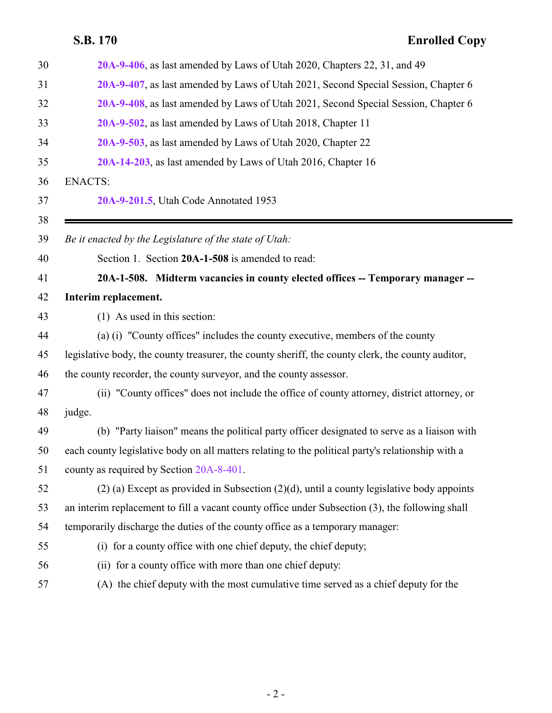<span id="page-1-0"></span>

| 30 | 20A-9-406, as last amended by Laws of Utah 2020, Chapters 22, 31, and 49                          |
|----|---------------------------------------------------------------------------------------------------|
| 31 | 20A-9-407, as last amended by Laws of Utah 2021, Second Special Session, Chapter 6                |
| 32 | 20A-9-408, as last amended by Laws of Utah 2021, Second Special Session, Chapter 6                |
| 33 | 20A-9-502, as last amended by Laws of Utah 2018, Chapter 11                                       |
| 34 | 20A-9-503, as last amended by Laws of Utah 2020, Chapter 22                                       |
| 35 | 20A-14-203, as last amended by Laws of Utah 2016, Chapter 16                                      |
| 36 | <b>ENACTS:</b>                                                                                    |
| 37 | 20A-9-201.5, Utah Code Annotated 1953                                                             |
| 38 |                                                                                                   |
| 39 | Be it enacted by the Legislature of the state of Utah:                                            |
| 40 | Section 1. Section 20A-1-508 is amended to read:                                                  |
| 41 | 20A-1-508. Midterm vacancies in county elected offices -- Temporary manager --                    |
| 42 | Interim replacement.                                                                              |
| 43 | $(1)$ As used in this section:                                                                    |
| 44 | (a) (i) "County offices" includes the county executive, members of the county                     |
| 45 | legislative body, the county treasurer, the county sheriff, the county clerk, the county auditor, |
| 46 | the county recorder, the county surveyor, and the county assessor.                                |
| 47 | (ii) "County offices" does not include the office of county attorney, district attorney, or       |
| 48 | judge.                                                                                            |
| 49 | (b) "Party liaison" means the political party officer designated to serve as a liaison with       |
| 50 | each county legislative body on all matters relating to the political party's relationship with a |
| 51 | county as required by Section 20A-8-401.                                                          |
| 52 | $(2)$ (a) Except as provided in Subsection $(2)(d)$ , until a county legislative body appoints    |
| 53 | an interim replacement to fill a vacant county office under Subsection (3), the following shall   |
| 54 | temporarily discharge the duties of the county office as a temporary manager:                     |
| 55 | (i) for a county office with one chief deputy, the chief deputy;                                  |
| 56 | (ii) for a county office with more than one chief deputy:                                         |
| 57 | (A) the chief deputy with the most cumulative time served as a chief deputy for the               |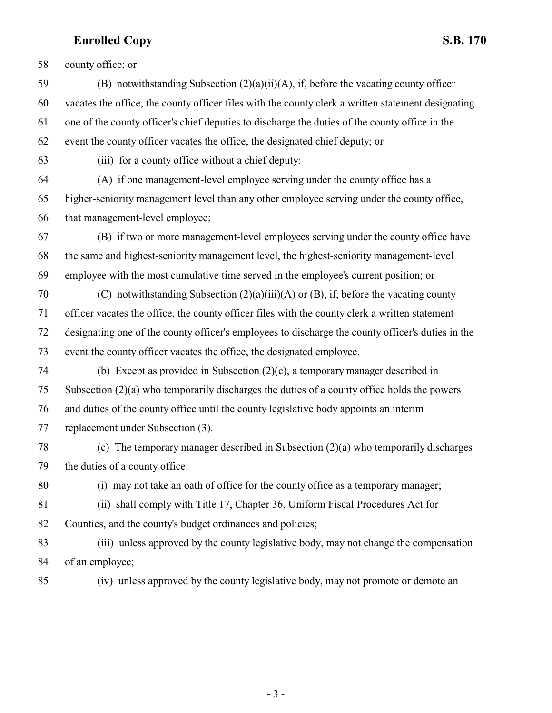county office; or

 (B) notwithstanding Subsection (2)(a)(ii)(A), if, before the vacating county officer vacates the office, the county officer files with the county clerk a written statement designating one of the county officer's chief deputies to discharge the duties of the county office in the event the county officer vacates the office, the designated chief deputy; or

(iii) for a county office without a chief deputy:

 (A) if one management-level employee serving under the county office has a higher-seniority management level than any other employee serving under the county office, that management-level employee;

 (B) if two or more management-level employees serving under the county office have the same and highest-seniority management level, the highest-seniority management-level employee with the most cumulative time served in the employee's current position; or

 (C) notwithstanding Subsection (2)(a)(iii)(A) or (B), if, before the vacating county officer vacates the office, the county officer files with the county clerk a written statement designating one of the county officer's employees to discharge the county officer's duties in the event the county officer vacates the office, the designated employee.

- (b) Except as provided in Subsection (2)(c), a temporary manager described in Subsection (2)(a) who temporarily discharges the duties of a county office holds the powers and duties of the county office until the county legislative body appoints an interim replacement under Subsection (3).
- (c) The temporary manager described in Subsection (2)(a) who temporarily discharges the duties of a county office:

(i) may not take an oath of office for the county office as a temporary manager;

 (ii) shall comply with Title 17, Chapter 36, Uniform Fiscal Procedures Act for Counties, and the county's budget ordinances and policies;

 (iii) unless approved by the county legislative body, may not change the compensation of an employee;

(iv) unless approved by the county legislative body, may not promote or demote an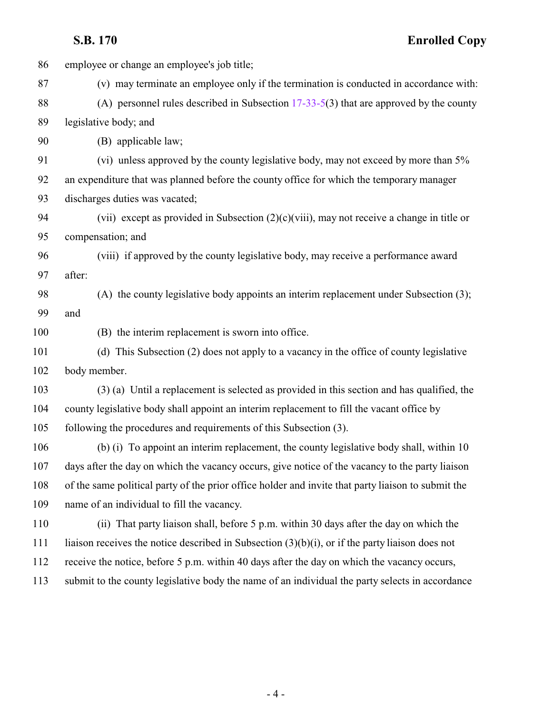| 86  | employee or change an employee's job title;                                                        |
|-----|----------------------------------------------------------------------------------------------------|
| 87  | (v) may terminate an employee only if the termination is conducted in accordance with:             |
| 88  | (A) personnel rules described in Subsection $17-33-5(3)$ that are approved by the county           |
| 89  | legislative body; and                                                                              |
| 90  | (B) applicable law;                                                                                |
| 91  | (vi) unless approved by the county legislative body, may not exceed by more than 5%                |
| 92  | an expenditure that was planned before the county office for which the temporary manager           |
| 93  | discharges duties was vacated;                                                                     |
| 94  | (vii) except as provided in Subsection $(2)(c)(viii)$ , may not receive a change in title or       |
| 95  | compensation; and                                                                                  |
| 96  | (viii) if approved by the county legislative body, may receive a performance award                 |
| 97  | after:                                                                                             |
| 98  | (A) the county legislative body appoints an interim replacement under Subsection (3);              |
| 99  | and                                                                                                |
| 100 | (B) the interim replacement is sworn into office.                                                  |
| 101 | (d) This Subsection (2) does not apply to a vacancy in the office of county legislative            |
| 102 | body member.                                                                                       |
| 103 | (3) (a) Until a replacement is selected as provided in this section and has qualified, the         |
| 104 | county legislative body shall appoint an interim replacement to fill the vacant office by          |
| 105 | following the procedures and requirements of this Subsection (3).                                  |
| 106 | (b) (i) To appoint an interim replacement, the county legislative body shall, within 10            |
| 107 | days after the day on which the vacancy occurs, give notice of the vacancy to the party liaison    |
| 108 | of the same political party of the prior office holder and invite that party liaison to submit the |
| 109 | name of an individual to fill the vacancy.                                                         |
| 110 | (ii) That party liaison shall, before 5 p.m. within 30 days after the day on which the             |
| 111 | liaison receives the notice described in Subsection $(3)(b)(i)$ , or if the party liaison does not |
| 112 | receive the notice, before 5 p.m. within 40 days after the day on which the vacancy occurs,        |
| 113 | submit to the county legislative body the name of an individual the party selects in accordance    |
|     |                                                                                                    |
|     |                                                                                                    |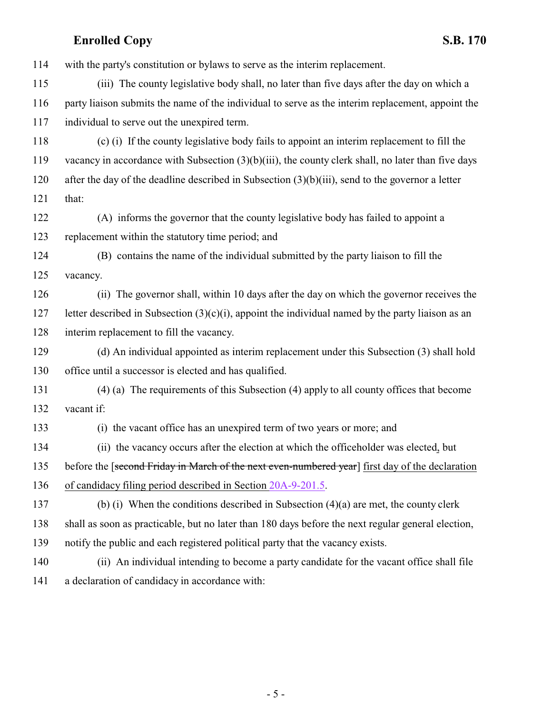with the party's constitution or bylaws to serve as the interim replacement.

 (iii) The county legislative body shall, no later than five days after the day on which a party liaison submits the name of the individual to serve as the interim replacement, appoint the individual to serve out the unexpired term.

 (c) (i) If the county legislative body fails to appoint an interim replacement to fill the vacancy in accordance with Subsection (3)(b)(iii), the county clerk shall, no later than five days after the day of the deadline described in Subsection (3)(b)(iii), send to the governor a letter that:

 (A) informs the governor that the county legislative body has failed to appoint a replacement within the statutory time period; and

 (B) contains the name of the individual submitted by the party liaison to fill the vacancy.

 (ii) The governor shall, within 10 days after the day on which the governor receives the 127 letter described in Subsection  $(3)(c)(i)$ , appoint the individual named by the party liaison as an interim replacement to fill the vacancy.

 (d) An individual appointed as interim replacement under this Subsection (3) shall hold office until a successor is elected and has qualified.

 (4) (a) The requirements of this Subsection (4) apply to all county offices that become vacant if:

(i) the vacant office has an unexpired term of two years or more; and

(ii) the vacancy occurs after the election at which the officeholder was elected, but

135 before the [second Friday in March of the next even-numbered year] first day of the declaration

of candidacy filing period described in Section [20A-9-201.5](#page-22-1).

 (b) (i) When the conditions described in Subsection (4)(a) are met, the county clerk shall as soon as practicable, but no later than 180 days before the next regular general election, notify the public and each registered political party that the vacancy exists.

 (ii) An individual intending to become a party candidate for the vacant office shall file a declaration of candidacy in accordance with: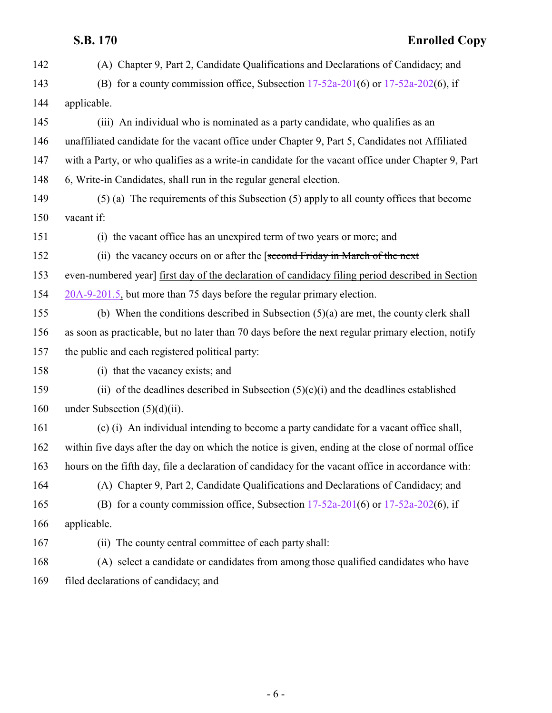| 142 | (A) Chapter 9, Part 2, Candidate Qualifications and Declarations of Candidacy; and                 |
|-----|----------------------------------------------------------------------------------------------------|
| 143 | (B) for a county commission office, Subsection $17-52a-201(6)$ or $17-52a-202(6)$ , if             |
| 144 | applicable.                                                                                        |
| 145 | (iii) An individual who is nominated as a party candidate, who qualifies as an                     |
| 146 | unaffiliated candidate for the vacant office under Chapter 9, Part 5, Candidates not Affiliated    |
| 147 | with a Party, or who qualifies as a write-in candidate for the vacant office under Chapter 9, Part |
| 148 | 6, Write-in Candidates, shall run in the regular general election.                                 |
| 149 | (5) (a) The requirements of this Subsection (5) apply to all county offices that become            |
| 150 | vacant if:                                                                                         |
| 151 | (i) the vacant office has an unexpired term of two years or more; and                              |
| 152 | (ii) the vacancy occurs on or after the [second Friday in March of the next                        |
| 153 | even-numbered year] first day of the declaration of candidacy filing period described in Section   |
| 154 | 20A-9-201.5, but more than 75 days before the regular primary election.                            |
| 155 | (b) When the conditions described in Subsection $(5)(a)$ are met, the county clerk shall           |
| 156 | as soon as practicable, but no later than 70 days before the next regular primary election, notify |
| 157 | the public and each registered political party:                                                    |
| 158 | (i) that the vacancy exists; and                                                                   |
| 159 | (ii) of the deadlines described in Subsection $(5)(c)(i)$ and the deadlines established            |
| 160 | under Subsection $(5)(d)(ii)$ .                                                                    |
| 161 | (c) (i) An individual intending to become a party candidate for a vacant office shall,             |
| 162 | within five days after the day on which the notice is given, ending at the close of normal office  |
| 163 | hours on the fifth day, file a declaration of candidacy for the vacant office in accordance with:  |
| 164 | (A) Chapter 9, Part 2, Candidate Qualifications and Declarations of Candidacy; and                 |
| 165 | (B) for a county commission office, Subsection $17-52a-201(6)$ or $17-52a-202(6)$ , if             |
| 166 | applicable.                                                                                        |
| 167 | (ii) The county central committee of each party shall:                                             |
| 168 | (A) select a candidate or candidates from among those qualified candidates who have                |
| 169 | filed declarations of candidacy; and                                                               |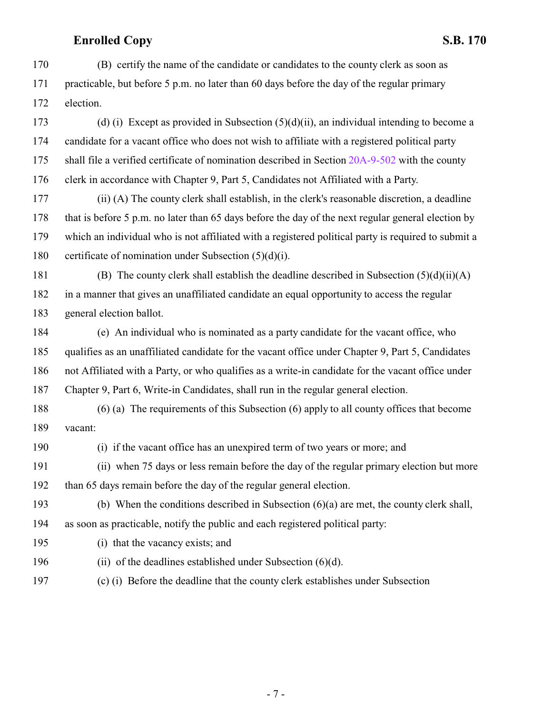(B) certify the name of the candidate or candidates to the county clerk as soon as practicable, but before 5 p.m. no later than 60 days before the day of the regular primary election.

 (d) (i) Except as provided in Subsection (5)(d)(ii), an individual intending to become a candidate for a vacant office who does not wish to affiliate with a registered political party 175 shall file a verified certificate of nomination described in Section [20A-9-502](#page-31-0) with the county clerk in accordance with Chapter 9, Part 5, Candidates not Affiliated with a Party.

 (ii) (A) The county clerk shall establish, in the clerk's reasonable discretion, a deadline that is before 5 p.m. no later than 65 days before the day of the next regular general election by which an individual who is not affiliated with a registered political party is required to submit a certificate of nomination under Subsection (5)(d)(i).

181 (B) The county clerk shall establish the deadline described in Subsection  $(5)(d)(ii)(A)$  in a manner that gives an unaffiliated candidate an equal opportunity to access the regular general election ballot.

 (e) An individual who is nominated as a party candidate for the vacant office, who qualifies as an unaffiliated candidate for the vacant office under Chapter 9, Part 5, Candidates not Affiliated with a Party, or who qualifies as a write-in candidate for the vacant office under Chapter 9, Part 6, Write-in Candidates, shall run in the regular general election.

 (6) (a) The requirements of this Subsection (6) apply to all county offices that become vacant:

(i) if the vacant office has an unexpired term of two years or more; and

 (ii) when 75 days or less remain before the day of the regular primary election but more than 65 days remain before the day of the regular general election.

 (b) When the conditions described in Subsection (6)(a) are met, the county clerk shall, as soon as practicable, notify the public and each registered political party:

- (i) that the vacancy exists; and
- (ii) of the deadlines established under Subsection (6)(d).
- (c) (i) Before the deadline that the county clerk establishes under Subsection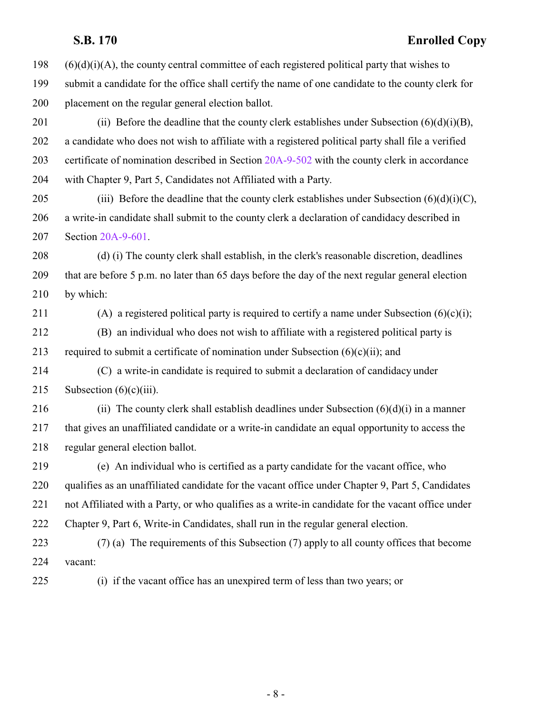(6)(d)(i)(A), the county central committee of each registered political party that wishes to submit a candidate for the office shall certify the name of one candidate to the county clerk for placement on the regular general election ballot. 201 (ii) Before the deadline that the county clerk establishes under Subsection  $(6)(d)(i)(B)$ , a candidate who does not wish to affiliate with a registered political party shall file a verified certificate of nomination described in Section [20A-9-502](#page-31-0) with the county clerk in accordance

with Chapter 9, Part 5, Candidates not Affiliated with a Party.

205 (iii) Before the deadline that the county clerk establishes under Subsection  $(6)(d)(i)(C)$ , a write-in candidate shall submit to the county clerk a declaration of candidacy described in Section [20A-9-601](http://le.utah.gov/UtahCode/SectionLookup.jsp?section=20a-9-601&session=2022GS).

 (d) (i) The county clerk shall establish, in the clerk's reasonable discretion, deadlines that are before 5 p.m. no later than 65 days before the day of the next regular general election by which:

211 (A) a registered political party is required to certify a name under Subsection  $(6)(c)(i)$ ;

 (B) an individual who does not wish to affiliate with a registered political party is 213 required to submit a certificate of nomination under Subsection  $(6)(c)(ii)$ ; and

 (C) a write-in candidate is required to submit a declaration of candidacy under 215 Subsection  $(6)(c)(iii)$ .

216 (ii) The county clerk shall establish deadlines under Subsection  $(6)(d)(i)$  in a manner that gives an unaffiliated candidate or a write-in candidate an equal opportunity to access the regular general election ballot.

 (e) An individual who is certified as a party candidate for the vacant office, who qualifies as an unaffiliated candidate for the vacant office under Chapter 9, Part 5, Candidates not Affiliated with a Party, or who qualifies as a write-in candidate for the vacant office under Chapter 9, Part 6, Write-in Candidates, shall run in the regular general election.

 (7) (a) The requirements of this Subsection (7) apply to all county offices that become vacant:

- 
- (i) if the vacant office has an unexpired term of less than two years; or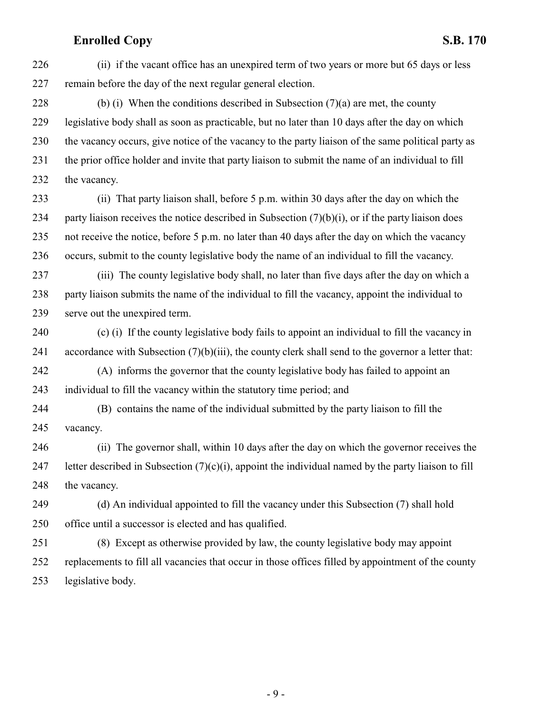(ii) if the vacant office has an unexpired term of two years or more but 65 days or less remain before the day of the next regular general election.

228 (b) (i) When the conditions described in Subsection  $(7)(a)$  are met, the county legislative body shall as soon as practicable, but no later than 10 days after the day on which the vacancy occurs, give notice of the vacancy to the party liaison of the same political party as the prior office holder and invite that party liaison to submit the name of an individual to fill the vacancy.

 (ii) That party liaison shall, before 5 p.m. within 30 days after the day on which the 234 party liaison receives the notice described in Subsection  $(7)(b)(i)$ , or if the party liaison does not receive the notice, before 5 p.m. no later than 40 days after the day on which the vacancy occurs, submit to the county legislative body the name of an individual to fill the vacancy.

 (iii) The county legislative body shall, no later than five days after the day on which a party liaison submits the name of the individual to fill the vacancy, appoint the individual to serve out the unexpired term.

 (c) (i) If the county legislative body fails to appoint an individual to fill the vacancy in accordance with Subsection (7)(b)(iii), the county clerk shall send to the governor a letter that:

 (A) informs the governor that the county legislative body has failed to appoint an individual to fill the vacancy within the statutory time period; and

 (B) contains the name of the individual submitted by the party liaison to fill the vacancy.

 (ii) The governor shall, within 10 days after the day on which the governor receives the 247 letter described in Subsection  $(7)(c)(i)$ , appoint the individual named by the party liaison to fill the vacancy.

 (d) An individual appointed to fill the vacancy under this Subsection (7) shall hold office until a successor is elected and has qualified.

 (8) Except as otherwise provided by law, the county legislative body may appoint replacements to fill all vacancies that occur in those offices filled by appointment of the county legislative body.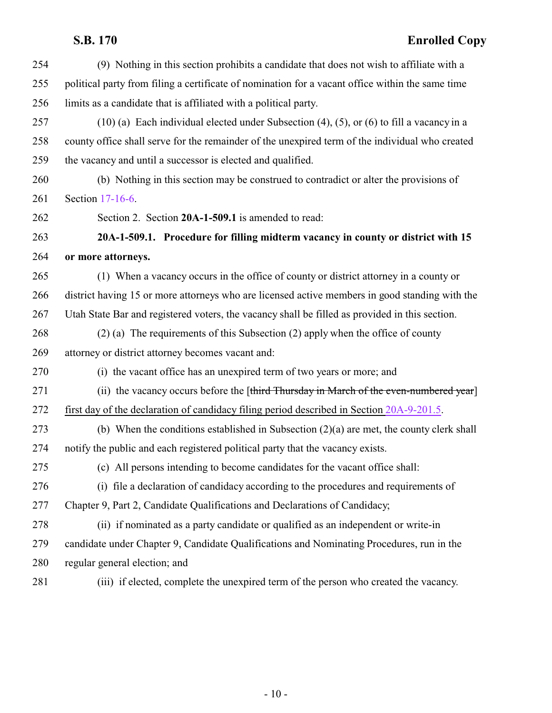<span id="page-9-0"></span>

| 254 | (9) Nothing in this section prohibits a candidate that does not wish to affiliate with a         |
|-----|--------------------------------------------------------------------------------------------------|
| 255 | political party from filing a certificate of nomination for a vacant office within the same time |
| 256 | limits as a candidate that is affiliated with a political party.                                 |
| 257 | $(10)$ (a) Each individual elected under Subsection (4), (5), or (6) to fill a vacancy in a      |
| 258 | county office shall serve for the remainder of the unexpired term of the individual who created  |
| 259 | the vacancy and until a successor is elected and qualified.                                      |
| 260 | (b) Nothing in this section may be construed to contradict or alter the provisions of            |
| 261 | Section 17-16-6.                                                                                 |
| 262 | Section 2. Section 20A-1-509.1 is amended to read:                                               |
| 263 | 20A-1-509.1. Procedure for filling midterm vacancy in county or district with 15                 |
| 264 | or more attorneys.                                                                               |
| 265 | (1) When a vacancy occurs in the office of county or district attorney in a county or            |
| 266 | district having 15 or more attorneys who are licensed active members in good standing with the   |
| 267 | Utah State Bar and registered voters, the vacancy shall be filled as provided in this section.   |
| 268 | $(2)$ (a) The requirements of this Subsection (2) apply when the office of county                |
| 269 | attorney or district attorney becomes vacant and:                                                |
| 270 | (i) the vacant office has an unexpired term of two years or more; and                            |
| 271 | (ii) the vacancy occurs before the [third Thursday in March of the even-numbered year]           |
| 272 | first day of the declaration of candidacy filing period described in Section 20A-9-201.5.        |
| 273 | (b) When the conditions established in Subsection $(2)(a)$ are met, the county clerk shall       |
| 274 | notify the public and each registered political party that the vacancy exists.                   |
| 275 | (c) All persons intending to become candidates for the vacant office shall:                      |
| 276 | (i) file a declaration of candidacy according to the procedures and requirements of              |
| 277 | Chapter 9, Part 2, Candidate Qualifications and Declarations of Candidacy;                       |
| 278 | (ii) if nominated as a party candidate or qualified as an independent or write-in                |
| 279 | candidate under Chapter 9, Candidate Qualifications and Nominating Procedures, run in the        |
| 280 | regular general election; and                                                                    |
| 281 | (iii) if elected, complete the unexpired term of the person who created the vacancy.             |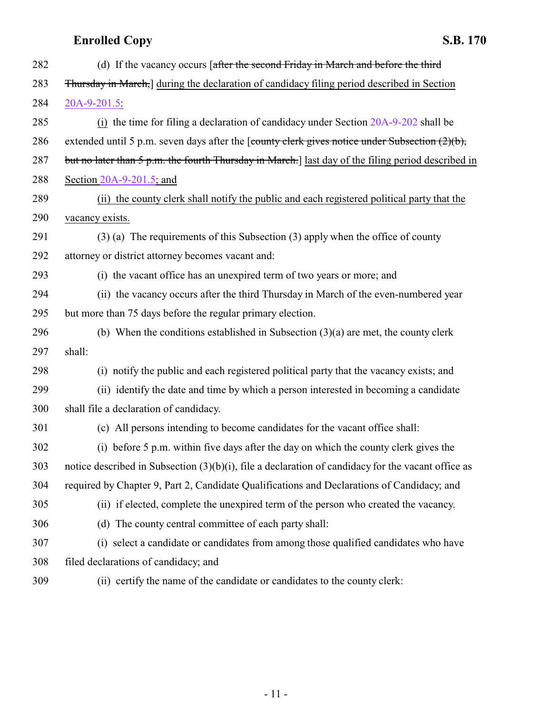| 282 | (d) If the vacancy occurs [after the second Friday in March and before the third                      |
|-----|-------------------------------------------------------------------------------------------------------|
| 283 | Thursday in March, during the declaration of candidacy filing period described in Section             |
| 284 | 20A-9-201.5:                                                                                          |
| 285 | (i) the time for filing a declaration of candidacy under Section 20A-9-202 shall be                   |
| 286 | extended until 5 p.m. seven days after the [county clerk gives notice under Subsection $(2)(b)$ ,     |
| 287 | but no later than 5 p.m. the fourth Thursday in March.] last day of the filing period described in    |
| 288 | Section $20A-9-201.5$ ; and                                                                           |
| 289 | (ii) the county clerk shall notify the public and each registered political party that the            |
| 290 | vacancy exists.                                                                                       |
| 291 | $(3)$ (a) The requirements of this Subsection (3) apply when the office of county                     |
| 292 | attorney or district attorney becomes vacant and:                                                     |
| 293 | (i) the vacant office has an unexpired term of two years or more; and                                 |
| 294 | (ii) the vacancy occurs after the third Thursday in March of the even-numbered year                   |
| 295 | but more than 75 days before the regular primary election.                                            |
| 296 | (b) When the conditions established in Subsection $(3)(a)$ are met, the county clerk                  |
| 297 | shall:                                                                                                |
| 298 | (i) notify the public and each registered political party that the vacancy exists; and                |
| 299 | (ii) identify the date and time by which a person interested in becoming a candidate                  |
| 300 | shall file a declaration of candidacy.                                                                |
| 301 | (c) All persons intending to become candidates for the vacant office shall:                           |
| 302 | (i) before 5 p.m. within five days after the day on which the county clerk gives the                  |
| 303 | notice described in Subsection $(3)(b)(i)$ , file a declaration of candidacy for the vacant office as |
| 304 | required by Chapter 9, Part 2, Candidate Qualifications and Declarations of Candidacy; and            |
| 305 | (ii) if elected, complete the unexpired term of the person who created the vacancy.                   |
| 306 | (d) The county central committee of each party shall:                                                 |
| 307 | (i) select a candidate or candidates from among those qualified candidates who have                   |
| 308 | filed declarations of candidacy; and                                                                  |
| 309 | (ii) certify the name of the candidate or candidates to the county clerk:                             |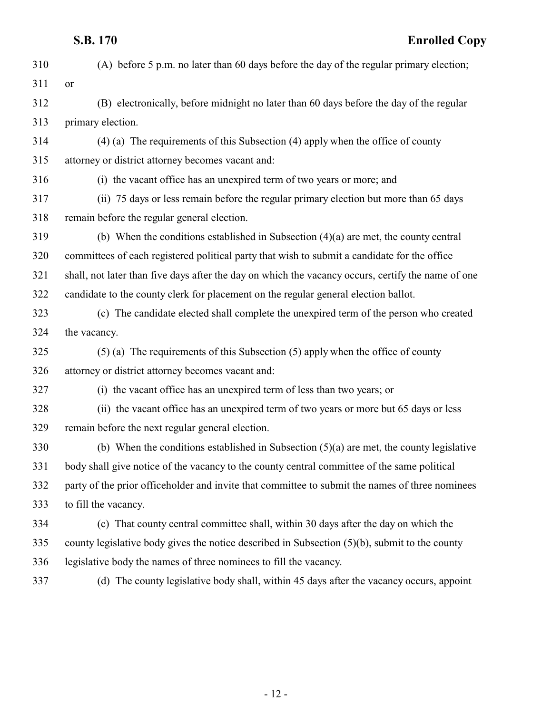| 310 | (A) before 5 p.m. no later than 60 days before the day of the regular primary election;            |
|-----|----------------------------------------------------------------------------------------------------|
| 311 | <b>or</b>                                                                                          |
| 312 | (B) electronically, before midnight no later than 60 days before the day of the regular            |
| 313 | primary election.                                                                                  |
| 314 | $(4)$ (a) The requirements of this Subsection (4) apply when the office of county                  |
| 315 | attorney or district attorney becomes vacant and:                                                  |
| 316 | (i) the vacant office has an unexpired term of two years or more; and                              |
| 317 | (ii) 75 days or less remain before the regular primary election but more than 65 days              |
| 318 | remain before the regular general election.                                                        |
| 319 | (b) When the conditions established in Subsection $(4)(a)$ are met, the county central             |
| 320 | committees of each registered political party that wish to submit a candidate for the office       |
| 321 | shall, not later than five days after the day on which the vacancy occurs, certify the name of one |
| 322 | candidate to the county clerk for placement on the regular general election ballot.                |
| 323 | (c) The candidate elected shall complete the unexpired term of the person who created              |
| 324 | the vacancy.                                                                                       |
| 325 | $(5)$ (a) The requirements of this Subsection $(5)$ apply when the office of county                |
| 326 | attorney or district attorney becomes vacant and:                                                  |
| 327 | (i) the vacant office has an unexpired term of less than two years; or                             |
| 328 | (ii) the vacant office has an unexpired term of two years or more but 65 days or less              |
| 329 | remain before the next regular general election.                                                   |
| 330 | (b) When the conditions established in Subsection $(5)(a)$ are met, the county legislative         |
| 331 | body shall give notice of the vacancy to the county central committee of the same political        |
| 332 | party of the prior officeholder and invite that committee to submit the names of three nominees    |
| 333 | to fill the vacancy.                                                                               |
| 334 | (c) That county central committee shall, within 30 days after the day on which the                 |
| 335 | county legislative body gives the notice described in Subsection $(5)(b)$ , submit to the county   |
| 336 | legislative body the names of three nominees to fill the vacancy.                                  |
| 337 | (d) The county legislative body shall, within 45 days after the vacancy occurs, appoint            |
|     |                                                                                                    |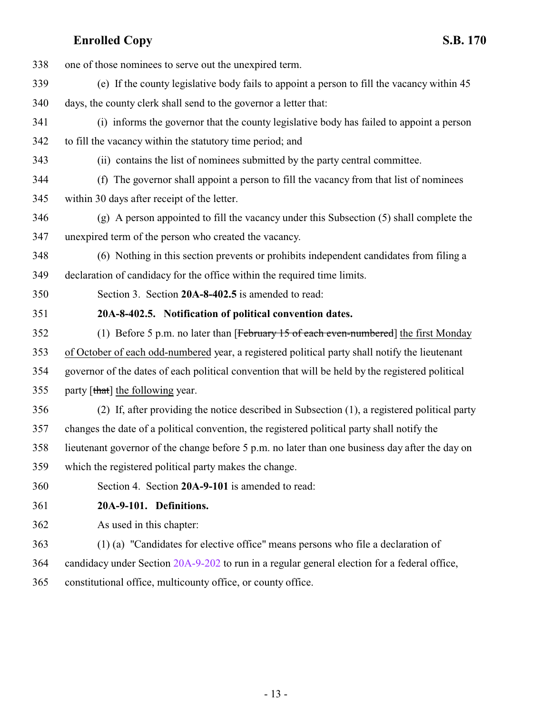<span id="page-12-1"></span><span id="page-12-0"></span>

| 338 | one of those nominees to serve out the unexpired term.                                           |
|-----|--------------------------------------------------------------------------------------------------|
| 339 | (e) If the county legislative body fails to appoint a person to fill the vacancy within 45       |
| 340 | days, the county clerk shall send to the governor a letter that:                                 |
| 341 | (i) informs the governor that the county legislative body has failed to appoint a person         |
| 342 | to fill the vacancy within the statutory time period; and                                        |
| 343 | (ii) contains the list of nominees submitted by the party central committee.                     |
| 344 | (f) The governor shall appoint a person to fill the vacancy from that list of nominees           |
| 345 | within 30 days after receipt of the letter.                                                      |
| 346 | (g) A person appointed to fill the vacancy under this Subsection (5) shall complete the          |
| 347 | unexpired term of the person who created the vacancy.                                            |
| 348 | (6) Nothing in this section prevents or prohibits independent candidates from filing a           |
| 349 | declaration of candidacy for the office within the required time limits.                         |
| 350 | Section 3. Section 20A-8-402.5 is amended to read:                                               |
| 351 | 20A-8-402.5. Notification of political convention dates.                                         |
| 352 | (1) Before 5 p.m. no later than [February $15$ of each even-numbered] the first Monday           |
| 353 | of October of each odd-numbered year, a registered political party shall notify the lieutenant   |
| 354 | governor of the dates of each political convention that will be held by the registered political |
| 355 | party [that] the following year.                                                                 |
| 356 | (2) If, after providing the notice described in Subsection (1), a registered political party     |
| 357 | changes the date of a political convention, the registered political party shall notify the      |
| 358 | lieutenant governor of the change before 5 p.m. no later than one business day after the day on  |
| 359 | which the registered political party makes the change.                                           |
| 360 | Section 4. Section 20A-9-101 is amended to read:                                                 |
| 361 | 20A-9-101. Definitions.                                                                          |
| 362 | As used in this chapter:                                                                         |
| 363 | (1) (a) "Candidates for elective office" means persons who file a declaration of                 |
| 364 | candidacy under Section 20A-9-202 to run in a regular general election for a federal office,     |
| 365 | constitutional office, multicounty office, or county office.                                     |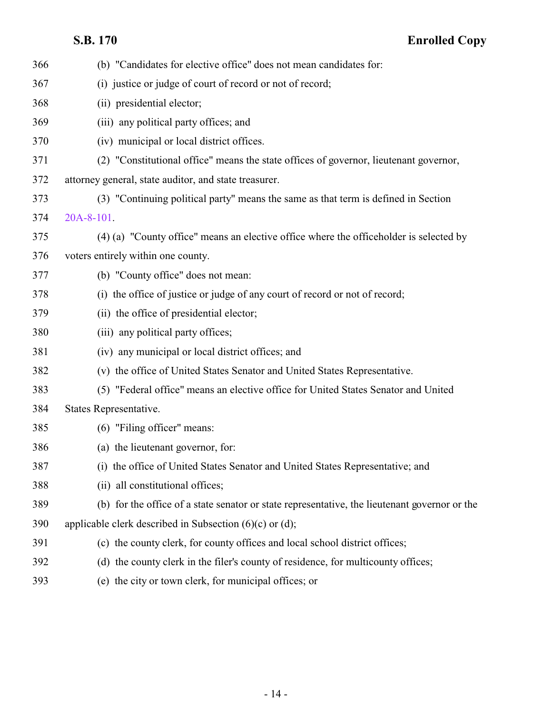| 366 | (b) "Candidates for elective office" does not mean candidates for:                            |
|-----|-----------------------------------------------------------------------------------------------|
| 367 | (i) justice or judge of court of record or not of record;                                     |
| 368 | (ii) presidential elector;                                                                    |
| 369 | (iii) any political party offices; and                                                        |
| 370 | (iv) municipal or local district offices.                                                     |
| 371 | (2) "Constitutional office" means the state offices of governor, lieutenant governor,         |
| 372 | attorney general, state auditor, and state treasurer.                                         |
| 373 | (3) "Continuing political party" means the same as that term is defined in Section            |
| 374 | 20A-8-101.                                                                                    |
| 375 | (4) (a) "County office" means an elective office where the officeholder is selected by        |
| 376 | voters entirely within one county.                                                            |
| 377 | (b) "County office" does not mean:                                                            |
| 378 | (i) the office of justice or judge of any court of record or not of record;                   |
| 379 | (ii) the office of presidential elector;                                                      |
| 380 | (iii) any political party offices;                                                            |
| 381 | (iv) any municipal or local district offices; and                                             |
| 382 | (v) the office of United States Senator and United States Representative.                     |
| 383 | (5) "Federal office" means an elective office for United States Senator and United            |
| 384 | States Representative.                                                                        |
| 385 | (6) "Filing officer" means:                                                                   |
| 386 | (a) the lieutenant governor, for:                                                             |
| 387 | (i) the office of United States Senator and United States Representative; and                 |
| 388 | (ii) all constitutional offices;                                                              |
| 389 | (b) for the office of a state senator or state representative, the lieutenant governor or the |
| 390 | applicable clerk described in Subsection $(6)(c)$ or $(d)$ ;                                  |
| 391 | (c) the county clerk, for county offices and local school district offices;                   |
| 392 | (d) the county clerk in the filer's county of residence, for multicounty offices;             |
| 393 | (e) the city or town clerk, for municipal offices; or                                         |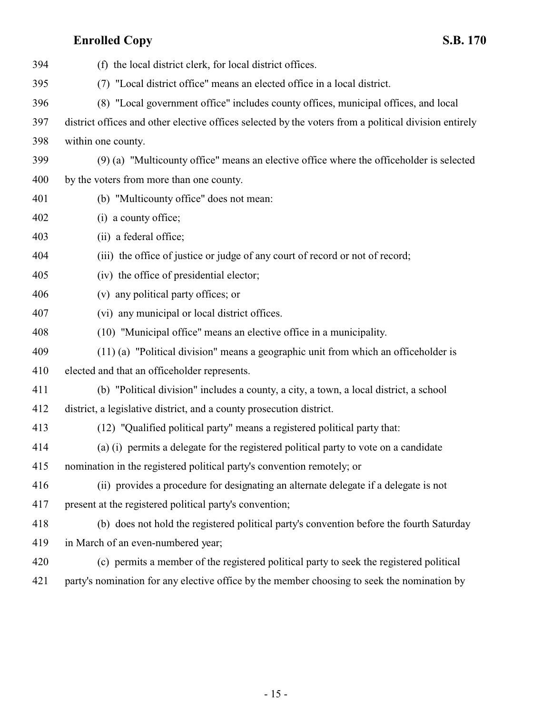| 394 | (f) the local district clerk, for local district offices.                                             |
|-----|-------------------------------------------------------------------------------------------------------|
| 395 | (7) "Local district office" means an elected office in a local district.                              |
| 396 | (8) "Local government office" includes county offices, municipal offices, and local                   |
| 397 | district offices and other elective offices selected by the voters from a political division entirely |
| 398 | within one county.                                                                                    |
| 399 | (9) (a) "Multicounty office" means an elective office where the officeholder is selected              |
| 400 | by the voters from more than one county.                                                              |
| 401 | (b) "Multicounty office" does not mean:                                                               |
| 402 | (i) a county office;                                                                                  |
| 403 | (ii) a federal office;                                                                                |
| 404 | (iii) the office of justice or judge of any court of record or not of record;                         |
| 405 | (iv) the office of presidential elector;                                                              |
| 406 | (v) any political party offices; or                                                                   |
| 407 | (vi) any municipal or local district offices.                                                         |
| 408 | (10) "Municipal office" means an elective office in a municipality.                                   |
| 409 | $(11)$ (a) "Political division" means a geographic unit from which an officeholder is                 |
| 410 | elected and that an officeholder represents.                                                          |
| 411 | (b) "Political division" includes a county, a city, a town, a local district, a school                |
| 412 | district, a legislative district, and a county prosecution district.                                  |
| 413 | (12) "Qualified political party" means a registered political party that:                             |
| 414 | (a) (i) permits a delegate for the registered political party to vote on a candidate                  |
| 415 | nomination in the registered political party's convention remotely; or                                |
| 416 | (ii) provides a procedure for designating an alternate delegate if a delegate is not                  |
| 417 | present at the registered political party's convention;                                               |
| 418 | (b) does not hold the registered political party's convention before the fourth Saturday              |
| 419 | in March of an even-numbered year;                                                                    |
| 420 | (c) permits a member of the registered political party to seek the registered political               |
| 421 | party's nomination for any elective office by the member choosing to seek the nomination by           |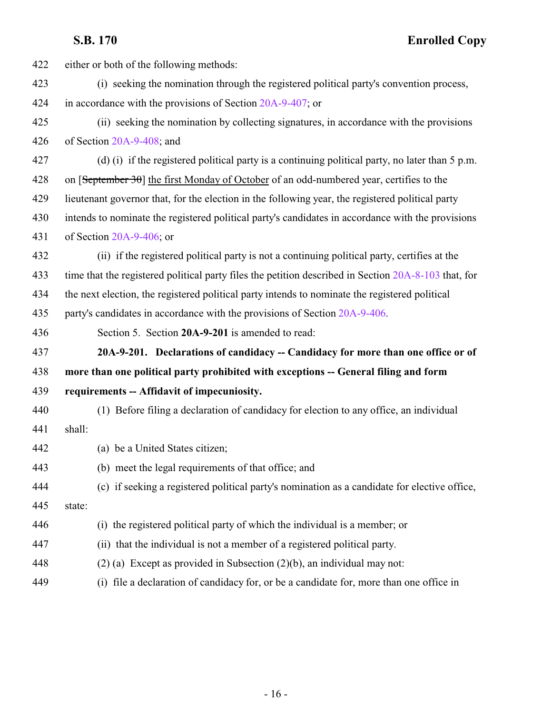<span id="page-15-0"></span>

| 422 | either or both of the following methods:                                                                  |
|-----|-----------------------------------------------------------------------------------------------------------|
| 423 | (i) seeking the nomination through the registered political party's convention process,                   |
| 424 | in accordance with the provisions of Section 20A-9-407; or                                                |
| 425 | (ii) seeking the nomination by collecting signatures, in accordance with the provisions                   |
| 426 | of Section 20A-9-408; and                                                                                 |
| 427 | (d) (i) if the registered political party is a continuing political party, no later than $5 \text{ p.m.}$ |
| 428 | on $[September 30]$ the first Monday of October of an odd-numbered year, certifies to the                 |
| 429 | lieutenant governor that, for the election in the following year, the registered political party          |
| 430 | intends to nominate the registered political party's candidates in accordance with the provisions         |
| 431 | of Section $20A-9-406$ ; or                                                                               |
| 432 | (ii) if the registered political party is not a continuing political party, certifies at the              |
| 433 | time that the registered political party files the petition described in Section 20A-8-103 that, for      |
| 434 | the next election, the registered political party intends to nominate the registered political            |
| 435 | party's candidates in accordance with the provisions of Section 20A-9-406.                                |
| 436 | Section 5. Section 20A-9-201 is amended to read:                                                          |
| 437 | 20A-9-201. Declarations of candidacy -- Candidacy for more than one office or of                          |
| 438 | more than one political party prohibited with exceptions -- General filing and form                       |
|     |                                                                                                           |
| 439 | requirements -- Affidavit of impecuniosity.                                                               |
| 440 | (1) Before filing a declaration of candidacy for election to any office, an individual                    |
| 441 | shall:                                                                                                    |
| 442 | (a) be a United States citizen;                                                                           |
| 443 | (b) meet the legal requirements of that office; and                                                       |
| 444 | (c) if seeking a registered political party's nomination as a candidate for elective office,              |
| 445 | state:                                                                                                    |
| 446 | (i) the registered political party of which the individual is a member; or                                |
| 447 | (ii) that the individual is not a member of a registered political party.                                 |
| 448 | $(2)$ (a) Except as provided in Subsection $(2)(b)$ , an individual may not:                              |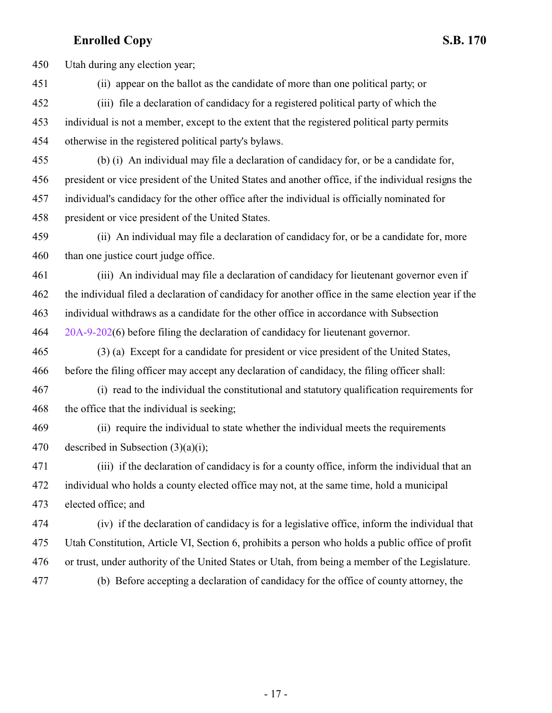Utah during any election year;

(ii) appear on the ballot as the candidate of more than one political party; or

 (iii) file a declaration of candidacy for a registered political party of which the individual is not a member, except to the extent that the registered political party permits otherwise in the registered political party's bylaws.

(b) (i) An individual may file a declaration of candidacy for, or be a candidate for,

president or vice president of the United States and another office, if the individual resigns the

 individual's candidacy for the other office after the individual is officially nominated for president or vice president of the United States.

 (ii) An individual may file a declaration of candidacy for, or be a candidate for, more than one justice court judge office.

 (iii) An individual may file a declaration of candidacy for lieutenant governor even if the individual filed a declaration of candidacy for another office in the same election year if the individual withdraws as a candidate for the other office in accordance with Subsection [20A-9-202](http://le.utah.gov/UtahCode/SectionLookup.jsp?section=20a-9-202&session=2022GS)(6) before filing the declaration of candidacy for lieutenant governor.

 (3) (a) Except for a candidate for president or vice president of the United States, before the filing officer may accept any declaration of candidacy, the filing officer shall:

 (i) read to the individual the constitutional and statutory qualification requirements for 468 the office that the individual is seeking;

 (ii) require the individual to state whether the individual meets the requirements described in Subsection (3)(a)(i);

 (iii) if the declaration of candidacy is for a county office, inform the individual that an individual who holds a county elected office may not, at the same time, hold a municipal elected office; and

 (iv) if the declaration of candidacy is for a legislative office, inform the individual that Utah Constitution, Article VI, Section 6, prohibits a person who holds a public office of profit or trust, under authority of the United States or Utah, from being a member of the Legislature. (b) Before accepting a declaration of candidacy for the office of county attorney, the

- 17 -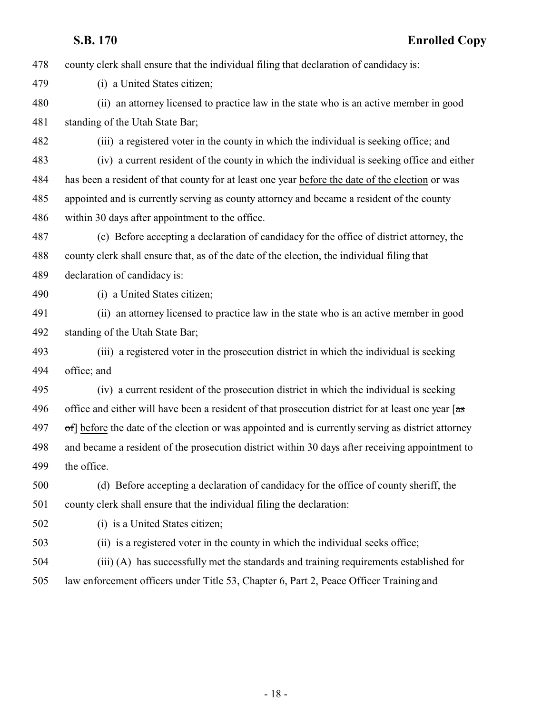county clerk shall ensure that the individual filing that declaration of candidacy is:

(i) a United States citizen;

 (ii) an attorney licensed to practice law in the state who is an active member in good standing of the Utah State Bar;

 (iii) a registered voter in the county in which the individual is seeking office; and (iv) a current resident of the county in which the individual is seeking office and either has been a resident of that county for at least one year before the date of the election or was appointed and is currently serving as county attorney and became a resident of the county within 30 days after appointment to the office.

 (c) Before accepting a declaration of candidacy for the office of district attorney, the county clerk shall ensure that, as of the date of the election, the individual filing that declaration of candidacy is:

(i) a United States citizen;

 (ii) an attorney licensed to practice law in the state who is an active member in good standing of the Utah State Bar;

 (iii) a registered voter in the prosecution district in which the individual is seeking office; and

 (iv) a current resident of the prosecution district in which the individual is seeking 496 office and either will have been a resident of that prosecution district for at least one year  $[a\mathbf{s}]$  of before the date of the election or was appointed and is currently serving as district attorney and became a resident of the prosecution district within 30 days after receiving appointment to the office.

 (d) Before accepting a declaration of candidacy for the office of county sheriff, the county clerk shall ensure that the individual filing the declaration:

(i) is a United States citizen;

(ii) is a registered voter in the county in which the individual seeks office;

(iii) (A) has successfully met the standards and training requirements established for

law enforcement officers under Title 53, Chapter 6, Part 2, Peace Officer Training and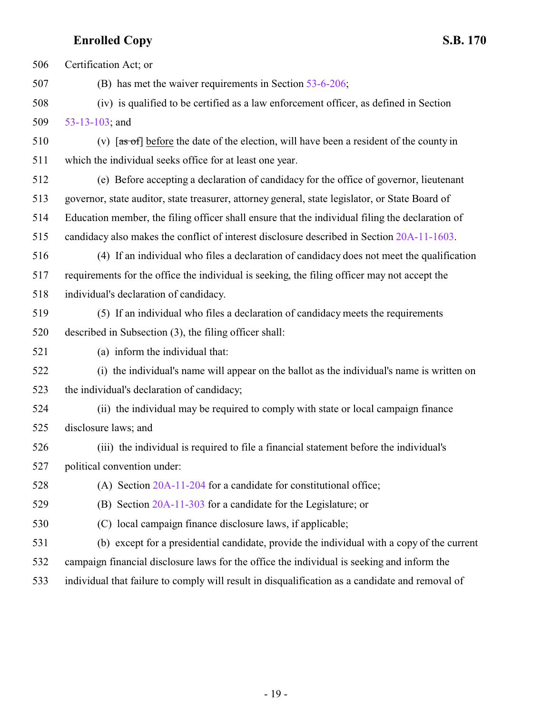Certification Act; or (B) has met the waiver requirements in Section [53-6-206](http://le.utah.gov/UtahCode/SectionLookup.jsp?section=53-6-206&session=2022GS); (iv) is qualified to be certified as a law enforcement officer, as defined in Section [53-13-103](http://le.utah.gov/UtahCode/SectionLookup.jsp?section=53-13-103&session=2022GS); and 510 (v)  $\left[ \frac{a}{b} \right]$  before the date of the election, will have been a resident of the county in which the individual seeks office for at least one year. (e) Before accepting a declaration of candidacy for the office of governor, lieutenant governor, state auditor, state treasurer, attorney general, state legislator, or State Board of Education member, the filing officer shall ensure that the individual filing the declaration of candidacy also makes the conflict of interest disclosure described in Section [20A-11-1603](http://le.utah.gov/UtahCode/SectionLookup.jsp?section=20a-11-1603&session=2022GS). (4) If an individual who files a declaration of candidacy does not meet the qualification requirements for the office the individual is seeking, the filing officer may not accept the individual's declaration of candidacy. (5) If an individual who files a declaration of candidacy meets the requirements described in Subsection (3), the filing officer shall: (a) inform the individual that: (i) the individual's name will appear on the ballot as the individual's name is written on the individual's declaration of candidacy; (ii) the individual may be required to comply with state or local campaign finance disclosure laws; and (iii) the individual is required to file a financial statement before the individual's political convention under: (A) Section [20A-11-204](http://le.utah.gov/UtahCode/SectionLookup.jsp?section=20a-11-204&session=2022GS) for a candidate for constitutional office; (B) Section [20A-11-303](http://le.utah.gov/UtahCode/SectionLookup.jsp?section=20a-11-303&session=2022GS) for a candidate for the Legislature; or (C) local campaign finance disclosure laws, if applicable; (b) except for a presidential candidate, provide the individual with a copy of the current campaign financial disclosure laws for the office the individual is seeking and inform the individual that failure to comply will result in disqualification as a candidate and removal of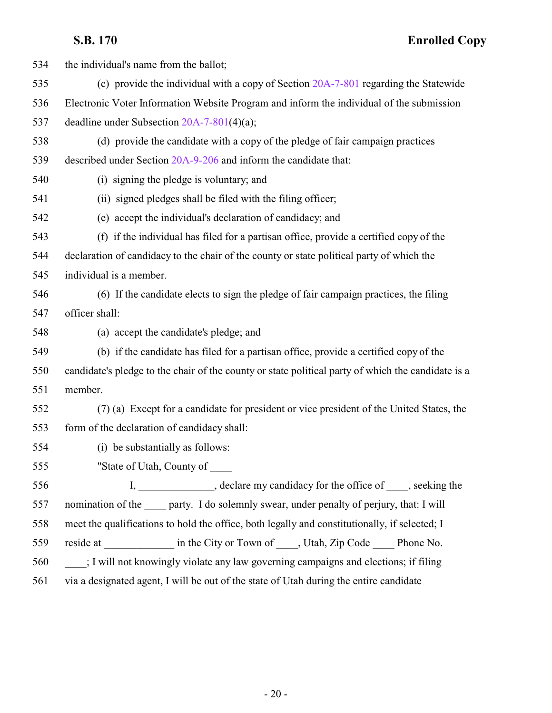| 534 | the individual's name from the ballot;                                                             |
|-----|----------------------------------------------------------------------------------------------------|
| 535 | (c) provide the individual with a copy of Section 20A-7-801 regarding the Statewide                |
| 536 | Electronic Voter Information Website Program and inform the individual of the submission           |
| 537 | deadline under Subsection $20A-7-801(4)(a)$ ;                                                      |
| 538 | (d) provide the candidate with a copy of the pledge of fair campaign practices                     |
| 539 | described under Section 20A-9-206 and inform the candidate that:                                   |
| 540 | (i) signing the pledge is voluntary; and                                                           |
| 541 | (ii) signed pledges shall be filed with the filing officer;                                        |
| 542 | (e) accept the individual's declaration of candidacy; and                                          |
| 543 | (f) if the individual has filed for a partisan office, provide a certified copy of the             |
| 544 | declaration of candidacy to the chair of the county or state political party of which the          |
| 545 | individual is a member.                                                                            |
| 546 | (6) If the candidate elects to sign the pledge of fair campaign practices, the filing              |
| 547 | officer shall:                                                                                     |
| 548 | (a) accept the candidate's pledge; and                                                             |
| 549 | (b) if the candidate has filed for a partisan office, provide a certified copy of the              |
| 550 | candidate's pledge to the chair of the county or state political party of which the candidate is a |
| 551 | member.                                                                                            |
| 552 | (7) (a) Except for a candidate for president or vice president of the United States, the           |
| 553 | form of the declaration of candidacy shall:                                                        |
| 554 | (i) be substantially as follows:                                                                   |
| 555 | "State of Utah, County of                                                                          |
| 556 | I, ______________, declare my candidacy for the office of ____, seeking the                        |
| 557 | nomination of the party. I do solemnly swear, under penalty of perjury, that: I will               |
| 558 | meet the qualifications to hold the office, both legally and constitutionally, if selected; I      |
| 559 | reside at ______________ in the City or Town of _____, Utah, Zip Code _____ Phone No.              |
| 560 | ; I will not knowingly violate any law governing campaigns and elections; if filing                |
| 561 | via a designated agent, I will be out of the state of Utah during the entire candidate             |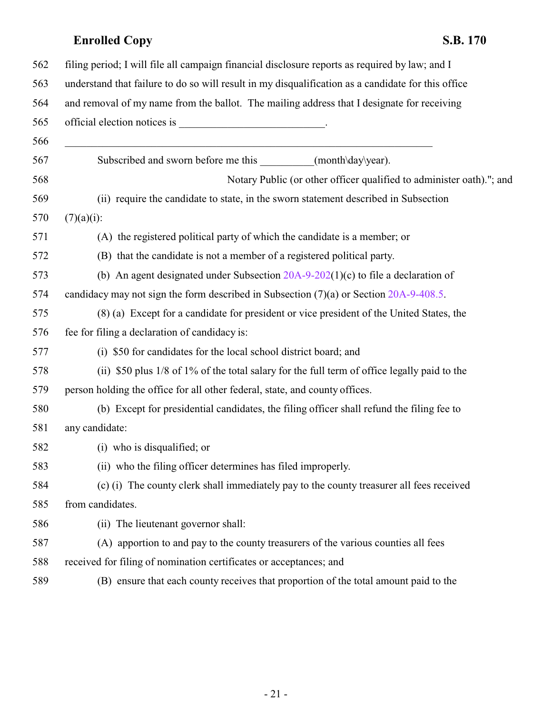| 562 | filing period; I will file all campaign financial disclosure reports as required by law; and I                                |
|-----|-------------------------------------------------------------------------------------------------------------------------------|
| 563 | understand that failure to do so will result in my disqualification as a candidate for this office                            |
| 564 | and removal of my name from the ballot. The mailing address that I designate for receiving                                    |
| 565 | official election notices is _________________________________.                                                               |
| 566 | <u> 1989 - Johann John Stone, mars et al. 1989 - John Stone, mars et al. 1989 - John Stone, mars et al. 1989 - John Stone</u> |
| 567 | Subscribed and sworn before me this __________(month\day\year).                                                               |
| 568 | Notary Public (or other officer qualified to administer oath)."; and                                                          |
| 569 | (ii) require the candidate to state, in the sworn statement described in Subsection                                           |
| 570 | $(7)(a)(i)$ :                                                                                                                 |
| 571 | (A) the registered political party of which the candidate is a member; or                                                     |
| 572 | (B) that the candidate is not a member of a registered political party.                                                       |
| 573 | (b) An agent designated under Subsection $20A-9-202(1)(c)$ to file a declaration of                                           |
| 574 | candidacy may not sign the form described in Subsection $(7)(a)$ or Section $20A-9-408.5$ .                                   |
| 575 | (8) (a) Except for a candidate for president or vice president of the United States, the                                      |
| 576 | fee for filing a declaration of candidacy is:                                                                                 |
| 577 | (i) \$50 for candidates for the local school district board; and                                                              |
| 578 | (ii) \$50 plus 1/8 of 1% of the total salary for the full term of office legally paid to the                                  |
| 579 | person holding the office for all other federal, state, and county offices.                                                   |
| 580 | (b) Except for presidential candidates, the filing officer shall refund the filing fee to                                     |
| 581 | any candidate:                                                                                                                |
| 582 | (i) who is disqualified; or                                                                                                   |
| 583 | (ii) who the filing officer determines has filed improperly.                                                                  |
| 584 | (c) (i) The county clerk shall immediately pay to the county treasurer all fees received                                      |
| 585 | from candidates.                                                                                                              |
| 586 | (ii) The lieutenant governor shall:                                                                                           |
| 587 | (A) apportion to and pay to the county treasurers of the various counties all fees                                            |
| 588 | received for filing of nomination certificates or acceptances; and                                                            |
| 589 | (B) ensure that each county receives that proportion of the total amount paid to the                                          |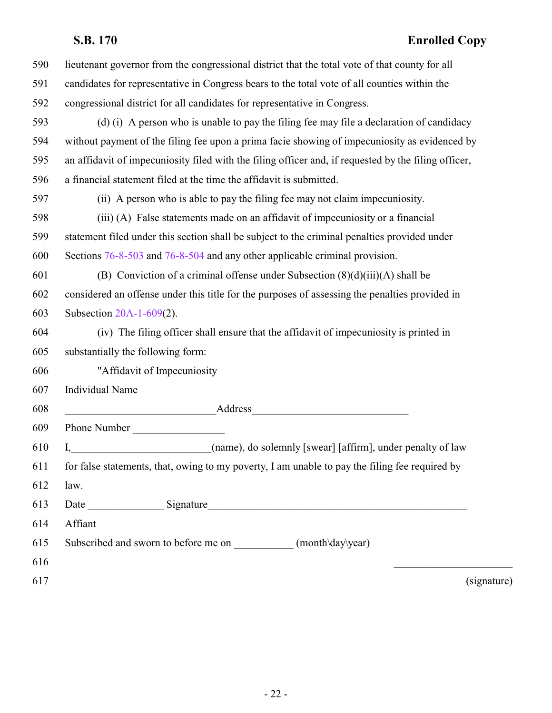| 590 | lieutenant governor from the congressional district that the total vote of that county for all         |
|-----|--------------------------------------------------------------------------------------------------------|
| 591 | candidates for representative in Congress bears to the total vote of all counties within the           |
| 592 | congressional district for all candidates for representative in Congress.                              |
| 593 | (d) (i) A person who is unable to pay the filing fee may file a declaration of candidacy               |
| 594 | without payment of the filing fee upon a prima facie showing of impecuniosity as evidenced by          |
| 595 | an affidavit of impecuniosity filed with the filing officer and, if requested by the filing officer,   |
| 596 | a financial statement filed at the time the affidavit is submitted.                                    |
| 597 | (ii) A person who is able to pay the filing fee may not claim impecuniosity.                           |
| 598 | (iii) (A) False statements made on an affidavit of impecuniosity or a financial                        |
| 599 | statement filed under this section shall be subject to the criminal penalties provided under           |
| 600 | Sections 76-8-503 and 76-8-504 and any other applicable criminal provision.                            |
| 601 | (B) Conviction of a criminal offense under Subsection $(8)(d)(iii)(A)$ shall be                        |
| 602 | considered an offense under this title for the purposes of assessing the penalties provided in         |
| 603 | Subsection 20A-1-609(2).                                                                               |
| 604 | (iv) The filing officer shall ensure that the affidavit of impecuniosity is printed in                 |
| 605 | substantially the following form:                                                                      |
| 606 | "Affidavit of Impecuniosity                                                                            |
| 607 | <b>Individual Name</b>                                                                                 |
| 608 |                                                                                                        |
| 609 | Phone Number                                                                                           |
| 610 | <u> 1989 - Johann Barbara, martxa al</u><br>(name), do solemnly [swear] [affirm], under penalty of law |
| 611 | for false statements, that, owing to my poverty, I am unable to pay the filing fee required by         |
| 612 | law.                                                                                                   |
| 613 |                                                                                                        |
| 614 | Affiant                                                                                                |
| 615 | Subscribed and sworn to before me on _____________(month\day\year)                                     |
| 616 |                                                                                                        |
| 617 | (signature)                                                                                            |
|     |                                                                                                        |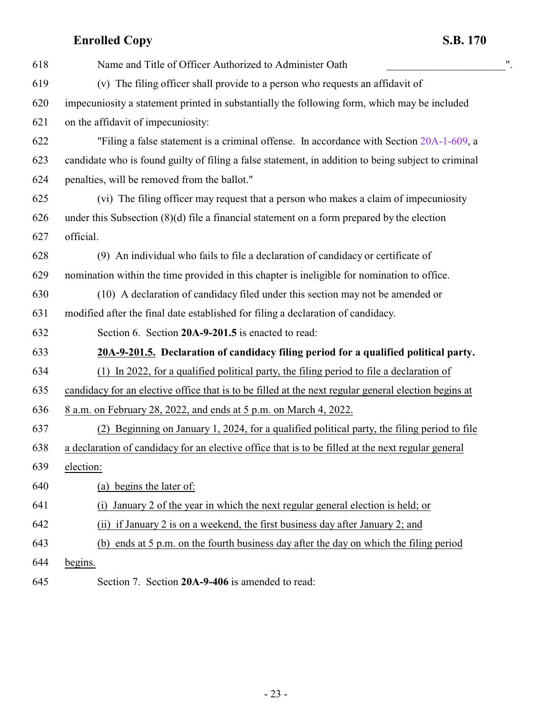| 618 | $^{\prime\prime}$<br>Name and Title of Officer Authorized to Administer Oath                         |
|-----|------------------------------------------------------------------------------------------------------|
| 619 | (v) The filing officer shall provide to a person who requests an affidavit of                        |
| 620 | impecuniosity a statement printed in substantially the following form, which may be included         |
| 621 | on the affidavit of impecuniosity:                                                                   |
| 622 | "Filing a false statement is a criminal offense. In accordance with Section 20A-1-609, a             |
| 623 | candidate who is found guilty of filing a false statement, in addition to being subject to criminal  |
| 624 | penalties, will be removed from the ballot."                                                         |
| 625 | (vi) The filing officer may request that a person who makes a claim of impecuniosity                 |
| 626 | under this Subsection $(8)(d)$ file a financial statement on a form prepared by the election         |
| 627 | official.                                                                                            |
| 628 | (9) An individual who fails to file a declaration of candidacy or certificate of                     |
| 629 | nomination within the time provided in this chapter is ineligible for nomination to office.          |
| 630 | (10) A declaration of candidacy filed under this section may not be amended or                       |
| 631 | modified after the final date established for filing a declaration of candidacy.                     |
| 632 | Section 6. Section 20A-9-201.5 is enacted to read:                                                   |
| 633 | 20A-9-201.5. Declaration of candidacy filing period for a qualified political party.                 |
| 634 | In 2022, for a qualified political party, the filing period to file a declaration of<br>(1)          |
| 635 | candidacy for an elective office that is to be filled at the next regular general election begins at |
| 636 | 8 a.m. on February 28, 2022, and ends at 5 p.m. on March 4, 2022.                                    |
| 637 | (2) Beginning on January 1, 2024, for a qualified political party, the filing period to file         |
| 638 | a declaration of candidacy for an elective office that is to be filled at the next regular general   |
| 639 | election:                                                                                            |
| 640 | (a) begins the later of:                                                                             |
| 641 | January 2 of the year in which the next regular general election is held; or<br>(i)                  |
| 642 | (ii) if January 2 is on a weekend, the first business day after January 2; and                       |
| 643 | (b) ends at 5 p.m. on the fourth business day after the day on which the filing period               |
| 644 | begins.                                                                                              |

<span id="page-22-1"></span><span id="page-22-0"></span>Section 7. Section **20A-9-406** is amended to read: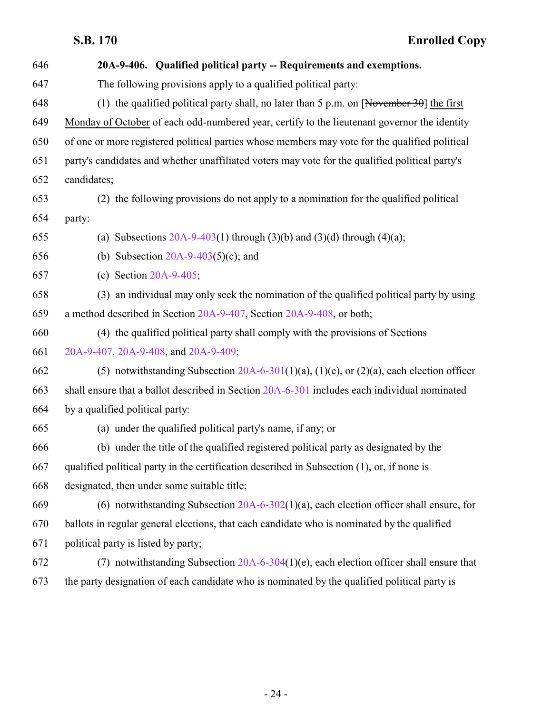| 646 | 20A-9-406. Qualified political party -- Requirements and exemptions.                                   |
|-----|--------------------------------------------------------------------------------------------------------|
| 647 | The following provisions apply to a qualified political party:                                         |
| 648 | (1) the qualified political party shall, no later than 5 p.m. on $\sqrt{\text{November 30}}$ the first |
| 649 | Monday of October of each odd-numbered year, certify to the lieutenant governor the identity           |
| 650 | of one or more registered political parties whose members may vote for the qualified political         |
| 651 | party's candidates and whether unaffiliated voters may vote for the qualified political party's        |
| 652 | candidates;                                                                                            |
| 653 | (2) the following provisions do not apply to a nomination for the qualified political                  |
| 654 | party:                                                                                                 |
| 655 | (a) Subsections $20A-9-403(1)$ through $(3)(b)$ and $(3)(d)$ through $(4)(a)$ ;                        |
| 656 | (b) Subsection $20A-9-403(5)(c)$ ; and                                                                 |
| 657 | (c) Section $20A-9-405$ ;                                                                              |
| 658 | (3) an individual may only seek the nomination of the qualified political party by using               |
| 659 | a method described in Section 20A-9-407, Section 20A-9-408, or both;                                   |
| 660 | (4) the qualified political party shall comply with the provisions of Sections                         |
| 661 | 20A-9-407, 20A-9-408, and 20A-9-409;                                                                   |
| 662 | (5) notwithstanding Subsection $20A-6-301(1)(a)$ , (1)(e), or (2)(a), each election officer            |
| 663 | shall ensure that a ballot described in Section 20A-6-301 includes each individual nominated           |
| 664 | by a qualified political party:                                                                        |
| 665 | (a) under the qualified political party's name, if any; or                                             |
| 666 | (b) under the title of the qualified registered political party as designated by the                   |
| 667 | qualified political party in the certification described in Subsection (1), or, if none is             |
| 668 | designated, then under some suitable title;                                                            |
| 669 | (6) notwithstanding Subsection $20A-6-302(1)(a)$ , each election officer shall ensure, for             |
| 670 | ballots in regular general elections, that each candidate who is nominated by the qualified            |
| 671 | political party is listed by party;                                                                    |
| 672 | (7) notwithstanding Subsection $20A-6-304(1)(e)$ , each election officer shall ensure that             |
| 673 | the party designation of each candidate who is nominated by the qualified political party is           |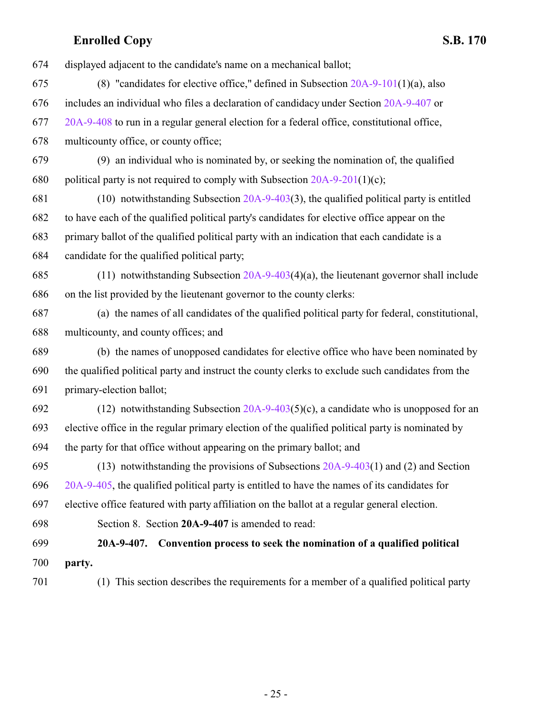| 674 | displayed adjacent to the candidate's name on a mechanical ballot;                               |
|-----|--------------------------------------------------------------------------------------------------|
| 675 | (8) "candidates for elective office," defined in Subsection $20A-9-101(1)(a)$ , also             |
| 676 | includes an individual who files a declaration of candidacy under Section 20A-9-407 or           |
| 677 | 20A-9-408 to run in a regular general election for a federal office, constitutional office,      |
| 678 | multicounty office, or county office;                                                            |
| 679 | (9) an individual who is nominated by, or seeking the nomination of, the qualified               |
| 680 | political party is not required to comply with Subsection $20A-9-201(1)(c)$ ;                    |
| 681 | $(10)$ notwithstanding Subsection 20A-9-403(3), the qualified political party is entitled        |
| 682 | to have each of the qualified political party's candidates for elective office appear on the     |
| 683 | primary ballot of the qualified political party with an indication that each candidate is a      |
| 684 | candidate for the qualified political party;                                                     |
| 685 | (11) notwithstanding Subsection $20A-9-403(4)(a)$ , the lieutenant governor shall include        |
| 686 | on the list provided by the lieutenant governor to the county clerks:                            |
| 687 | (a) the names of all candidates of the qualified political party for federal, constitutional,    |
| 688 | multicounty, and county offices; and                                                             |
| 689 | (b) the names of unopposed candidates for elective office who have been nominated by             |
| 690 | the qualified political party and instruct the county clerks to exclude such candidates from the |
| 691 | primary-election ballot;                                                                         |
| 692 | (12) notwithstanding Subsection $20A-9-403(5)(c)$ , a candidate who is unopposed for an          |
| 693 | elective office in the regular primary election of the qualified political party is nominated by |
| 694 | the party for that office without appearing on the primary ballot; and                           |
| 695 | (13) notwithstanding the provisions of Subsections $20A-9-403(1)$ and (2) and Section            |
| 696 | 20A-9-405, the qualified political party is entitled to have the names of its candidates for     |
| 697 | elective office featured with party affiliation on the ballot at a regular general election.     |
| 698 | Section 8. Section 20A-9-407 is amended to read:                                                 |
| 699 | Convention process to seek the nomination of a qualified political<br>$20A-9-407.$               |
| 700 | party.                                                                                           |
| 701 | (1) This section describes the requirements for a member of a qualified political party          |

<span id="page-24-0"></span>- 25 -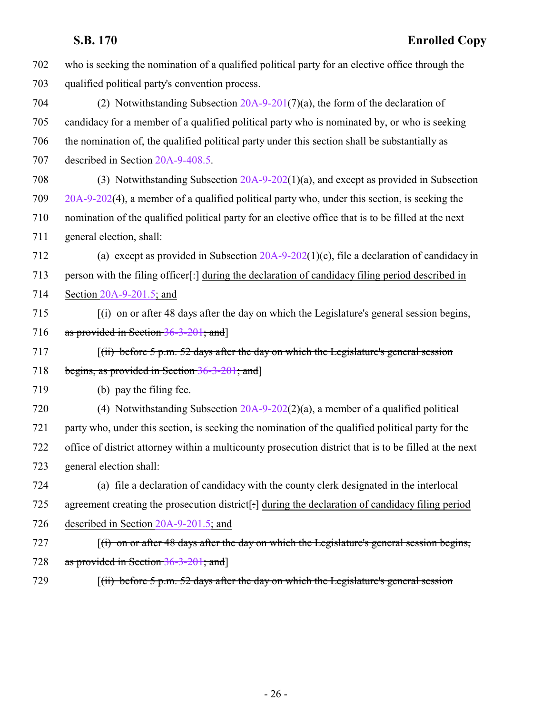| 702 | who is seeking the nomination of a qualified political party for an elective office through the                                           |
|-----|-------------------------------------------------------------------------------------------------------------------------------------------|
| 703 | qualified political party's convention process.                                                                                           |
| 704 | (2) Notwithstanding Subsection $20A-9-201(7)(a)$ , the form of the declaration of                                                         |
| 705 | candidacy for a member of a qualified political party who is nominated by, or who is seeking                                              |
| 706 | the nomination of, the qualified political party under this section shall be substantially as                                             |
| 707 | described in Section 20A-9-408.5.                                                                                                         |
| 708 | (3) Notwithstanding Subsection $20A-9-202(1)(a)$ , and except as provided in Subsection                                                   |
| 709 | 20A-9-202(4), a member of a qualified political party who, under this section, is seeking the                                             |
| 710 | nomination of the qualified political party for an elective office that is to be filled at the next                                       |
| 711 | general election, shall:                                                                                                                  |
| 712 | (a) except as provided in Subsection $20A-9-202(1)(c)$ , file a declaration of candidacy in                                               |
| 713 | person with the filing officer[:] during the declaration of candidacy filing period described in                                          |
| 714 | Section 20A-9-201.5; and                                                                                                                  |
| 715 | $f(i)$ on or after 48 days after the day on which the Legislature's general session begins,                                               |
| 716 | as provided in Section 36-3-201; and]                                                                                                     |
| 717 | $(iii)$ before 5 p.m. 52 days after the day on which the Legislature's general session                                                    |
| 718 | begins, as provided in Section $36-3-201$ ; and                                                                                           |
| 719 | (b) pay the filing fee.                                                                                                                   |
| 720 | (4) Notwithstanding Subsection $20A-9-202(2)(a)$ , a member of a qualified political                                                      |
| 721 | party who, under this section, is seeking the nomination of the qualified political party for the                                         |
| 722 | office of district attorney within a multicounty prosecution district that is to be filled at the next                                    |
| 723 | general election shall:                                                                                                                   |
| 724 | (a) file a declaration of candidacy with the county clerk designated in the interlocal                                                    |
| 725 | agreement creating the prosecution district[:] during the declaration of candidacy filing period                                          |
| 726 | described in Section 20A-9-201.5; and                                                                                                     |
| 727 | $f(t)$ on or after 48 days after the day on which the Legislature's general session begins,                                               |
| 728 | as provided in Section 36-3-201; and                                                                                                      |
| 729 | $\left[\right(\text{ii}) \text{ before } 5 \text{ p.m. } 52 \text{ days after the day on which the Legislature's general session}\right]$ |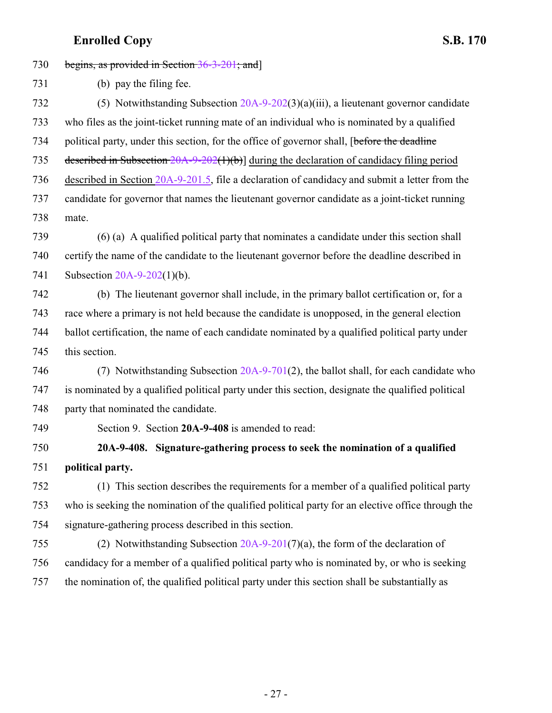<span id="page-26-0"></span>

| 730 | begins, as provided in Section $36-3-201$ ; and                                                   |
|-----|---------------------------------------------------------------------------------------------------|
| 731 | (b) pay the filing fee.                                                                           |
| 732 | (5) Notwithstanding Subsection $20A-9-202(3)(a)(iii)$ , a lieutenant governor candidate           |
| 733 | who files as the joint-ticket running mate of an individual who is nominated by a qualified       |
| 734 | political party, under this section, for the office of governor shall, [before the deadline       |
| 735 | described in Subsection $20A-9-202(1)(b)$ during the declaration of candidacy filing period       |
| 736 | described in Section 20A-9-201.5, file a declaration of candidacy and submit a letter from the    |
| 737 | candidate for governor that names the lieutenant governor candidate as a joint-ticket running     |
| 738 | mate.                                                                                             |
| 739 | (6) (a) A qualified political party that nominates a candidate under this section shall           |
| 740 | certify the name of the candidate to the lieutenant governor before the deadline described in     |
| 741 | Subsection $20A-9-202(1)(b)$ .                                                                    |
| 742 | (b) The lieutenant governor shall include, in the primary ballot certification or, for a          |
| 743 | race where a primary is not held because the candidate is unopposed, in the general election      |
| 744 | ballot certification, the name of each candidate nominated by a qualified political party under   |
| 745 | this section.                                                                                     |
| 746 | (7) Notwithstanding Subsection 20A-9-701(2), the ballot shall, for each candidate who             |
| 747 | is nominated by a qualified political party under this section, designate the qualified political |
| 748 | party that nominated the candidate.                                                               |
| 749 | Section 9. Section 20A-9-408 is amended to read:                                                  |
| 750 | 20A-9-408. Signature-gathering process to seek the nomination of a qualified                      |
| 751 | political party.                                                                                  |
| 752 | (1) This section describes the requirements for a member of a qualified political party           |
| 753 | who is seeking the nomination of the qualified political party for an elective office through the |
| 754 | signature-gathering process described in this section.                                            |
| 755 | (2) Notwithstanding Subsection $20A-9-201(7)(a)$ , the form of the declaration of                 |
| 756 | candidacy for a member of a qualified political party who is nominated by, or who is seeking      |
| 757 | the nomination of, the qualified political party under this section shall be substantially as     |
|     |                                                                                                   |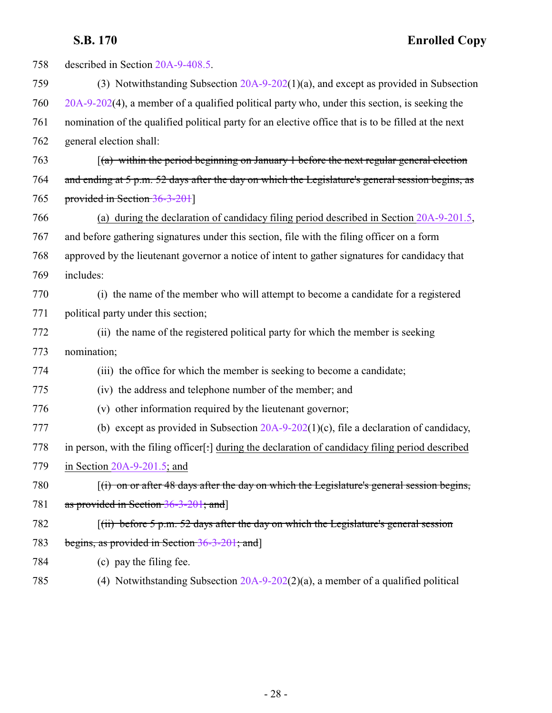| 758 | described in Section 20A-9-408.5.                                                                   |
|-----|-----------------------------------------------------------------------------------------------------|
| 759 | (3) Notwithstanding Subsection 20A-9-202(1)(a), and except as provided in Subsection                |
| 760 | $20A-9-202(4)$ , a member of a qualified political party who, under this section, is seeking the    |
| 761 | nomination of the qualified political party for an elective office that is to be filled at the next |
| 762 | general election shall:                                                                             |
| 763 | $(a)$ within the period beginning on January 1 before the next regular general election             |
| 764 | and ending at 5 p.m. 52 days after the day on which the Legislature's general session begins, as    |
| 765 | provided in Section 36-3-201]                                                                       |
| 766 | (a) during the declaration of candidacy filing period described in Section $20A-9-201.5$ ,          |
| 767 | and before gathering signatures under this section, file with the filing officer on a form          |
| 768 | approved by the lieutenant governor a notice of intent to gather signatures for candidacy that      |
| 769 | includes:                                                                                           |
| 770 | (i) the name of the member who will attempt to become a candidate for a registered                  |
| 771 | political party under this section;                                                                 |
| 772 | (ii) the name of the registered political party for which the member is seeking                     |
| 773 | nomination;                                                                                         |
| 774 | (iii) the office for which the member is seeking to become a candidate;                             |
| 775 | (iv) the address and telephone number of the member; and                                            |
| 776 | (v) other information required by the lieutenant governor;                                          |
| 777 | (b) except as provided in Subsection $20A-9-202(1)(c)$ , file a declaration of candidacy,           |
| 778 | in person, with the filing officer[:] during the declaration of candidacy filing period described   |
| 779 | in Section $20A-9-201.5$ ; and                                                                      |
| 780 | $f(t)$ on or after 48 days after the day on which the Legislature's general session begins,         |
| 781 | as provided in Section 36-3-201; and]                                                               |
| 782 | $(iii)$ before 5 p.m. 52 days after the day on which the Legislature's general session              |
| 783 | begins, as provided in Section $36-3-201$ ; and                                                     |
| 784 | (c) pay the filing fee.                                                                             |
|     |                                                                                                     |

(4) Notwithstanding Subsection [20A-9-202](http://le.utah.gov/UtahCode/SectionLookup.jsp?section=20a-9-202&session=2022GS)(2)(a), a member of a qualified political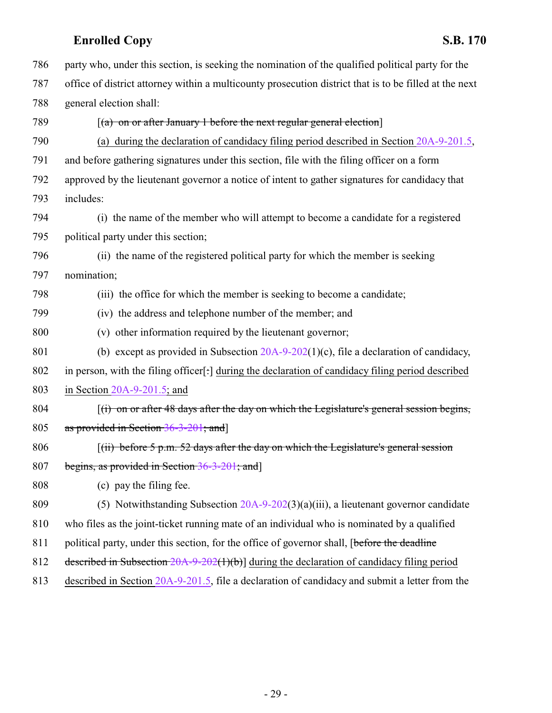| 786 | party who, under this section, is seeking the nomination of the qualified political party for the      |
|-----|--------------------------------------------------------------------------------------------------------|
| 787 | office of district attorney within a multicounty prosecution district that is to be filled at the next |
| 788 | general election shall:                                                                                |
| 789 | $(a)$ on or after January 1 before the next regular general election                                   |
| 790 | (a) during the declaration of candidacy filing period described in Section $20A-9-201.5$ ,             |
| 791 | and before gathering signatures under this section, file with the filing officer on a form             |
| 792 | approved by the lieutenant governor a notice of intent to gather signatures for candidacy that         |
| 793 | includes:                                                                                              |
| 794 | (i) the name of the member who will attempt to become a candidate for a registered                     |
| 795 | political party under this section;                                                                    |
| 796 | (ii) the name of the registered political party for which the member is seeking                        |
| 797 | nomination;                                                                                            |
| 798 | (iii) the office for which the member is seeking to become a candidate;                                |
| 799 | (iv) the address and telephone number of the member; and                                               |
| 800 | (v) other information required by the lieutenant governor;                                             |
| 801 | (b) except as provided in Subsection $20A-9-202(1)(c)$ , file a declaration of candidacy,              |
| 802 | in person, with the filing officer[:] during the declaration of candidacy filing period described      |
| 803 | in Section $20A-9-201.5$ ; and                                                                         |
| 804 | $f(t)$ on or after 48 days after the day on which the Legislature's general session begins,            |
| 805 | as provided in Section 36-3-201; and                                                                   |
| 806 | $(iii)$ before 5 p.m. 52 days after the day on which the Legislature's general session                 |
| 807 | begins, as provided in Section 36-3-201; and                                                           |
| 808 | (c) pay the filing fee.                                                                                |
| 809 | (5) Notwithstanding Subsection $20A-9-202(3)(a)(iii)$ , a lieutenant governor candidate                |
| 810 | who files as the joint-ticket running mate of an individual who is nominated by a qualified            |
| 811 | political party, under this section, for the office of governor shall, [before the deadline            |
| 812 | described in Subsection $20A-9-202(1)(b)$ during the declaration of candidacy filing period            |
| 813 | described in Section 20A-9-201.5, file a declaration of candidacy and submit a letter from the         |
|     |                                                                                                        |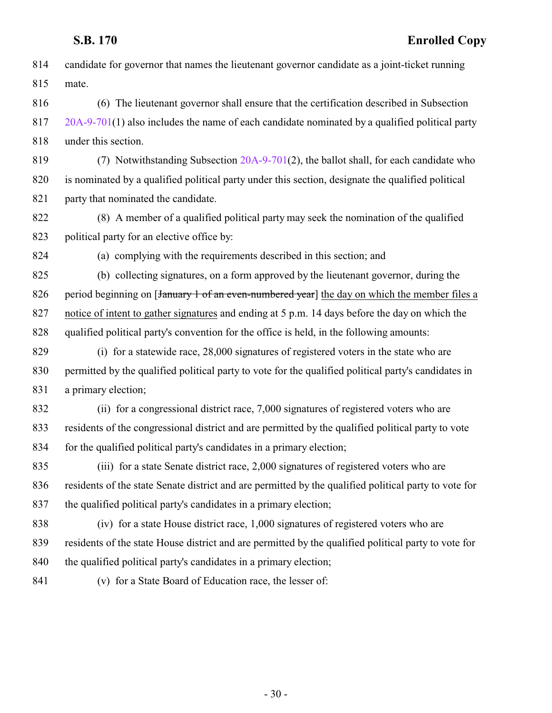candidate for governor that names the lieutenant governor candidate as a joint-ticket running mate.

 (6) The lieutenant governor shall ensure that the certification described in Subsection [20A-9-701](http://le.utah.gov/UtahCode/SectionLookup.jsp?section=20a-9-701&session=2022GS)(1) also includes the name of each candidate nominated by a qualified political party under this section.

 (7) Notwithstanding Subsection [20A-9-701](http://le.utah.gov/UtahCode/SectionLookup.jsp?section=20a-9-701&session=2022GS)(2), the ballot shall, for each candidate who is nominated by a qualified political party under this section, designate the qualified political 821 party that nominated the candidate.

 (8) A member of a qualified political party may seek the nomination of the qualified 823 political party for an elective office by:

(a) complying with the requirements described in this section; and

 (b) collecting signatures, on a form approved by the lieutenant governor, during the 826 period beginning on [<del>January 1 of an even-numbered year</del>] the day on which the member files a notice of intent to gather signatures and ending at 5 p.m. 14 days before the day on which the qualified political party's convention for the office is held, in the following amounts:

 (i) for a statewide race, 28,000 signatures of registered voters in the state who are permitted by the qualified political party to vote for the qualified political party's candidates in 831 a primary election;

 (ii) for a congressional district race, 7,000 signatures of registered voters who are residents of the congressional district and are permitted by the qualified political party to vote for the qualified political party's candidates in a primary election;

 (iii) for a state Senate district race, 2,000 signatures of registered voters who are residents of the state Senate district and are permitted by the qualified political party to vote for the qualified political party's candidates in a primary election;

 (iv) for a state House district race, 1,000 signatures of registered voters who are residents of the state House district and are permitted by the qualified political party to vote for the qualified political party's candidates in a primary election;

(v) for a State Board of Education race, the lesser of: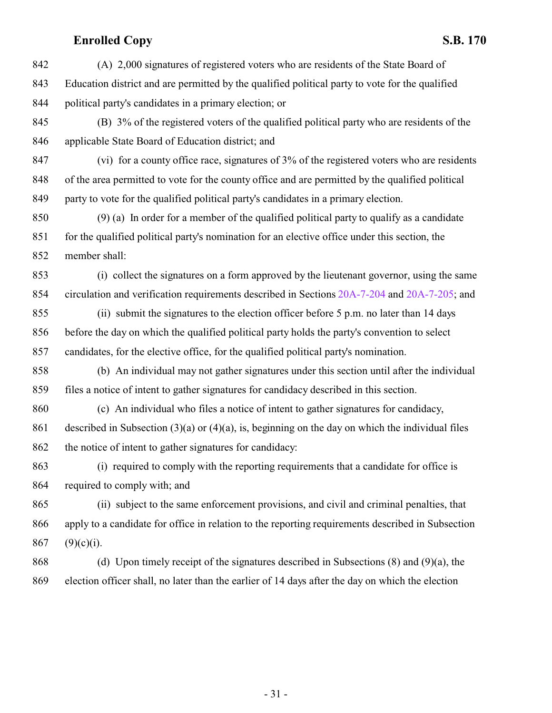(A) 2,000 signatures of registered voters who are residents of the State Board of Education district and are permitted by the qualified political party to vote for the qualified political party's candidates in a primary election; or

 (B) 3% of the registered voters of the qualified political party who are residents of the applicable State Board of Education district; and

 (vi) for a county office race, signatures of 3% of the registered voters who are residents of the area permitted to vote for the county office and are permitted by the qualified political party to vote for the qualified political party's candidates in a primary election.

 (9) (a) In order for a member of the qualified political party to qualify as a candidate for the qualified political party's nomination for an elective office under this section, the member shall:

 (i) collect the signatures on a form approved by the lieutenant governor, using the same circulation and verification requirements described in Sections [20A-7-204](http://le.utah.gov/UtahCode/SectionLookup.jsp?section=20a-7-204&session=2022GS) and [20A-7-205](http://le.utah.gov/UtahCode/SectionLookup.jsp?section=20a-7-205&session=2022GS); and

 (ii) submit the signatures to the election officer before 5 p.m. no later than 14 days before the day on which the qualified political party holds the party's convention to select candidates, for the elective office, for the qualified political party's nomination.

 (b) An individual may not gather signatures under this section until after the individual files a notice of intent to gather signatures for candidacy described in this section.

 (c) An individual who files a notice of intent to gather signatures for candidacy, described in Subsection (3)(a) or (4)(a), is, beginning on the day on which the individual files 862 the notice of intent to gather signatures for candidacy:

 (i) required to comply with the reporting requirements that a candidate for office is required to comply with; and

 (ii) subject to the same enforcement provisions, and civil and criminal penalties, that apply to a candidate for office in relation to the reporting requirements described in Subsection 867 (9)(c)(i).

 (d) Upon timely receipt of the signatures described in Subsections (8) and (9)(a), the election officer shall, no later than the earlier of 14 days after the day on which the election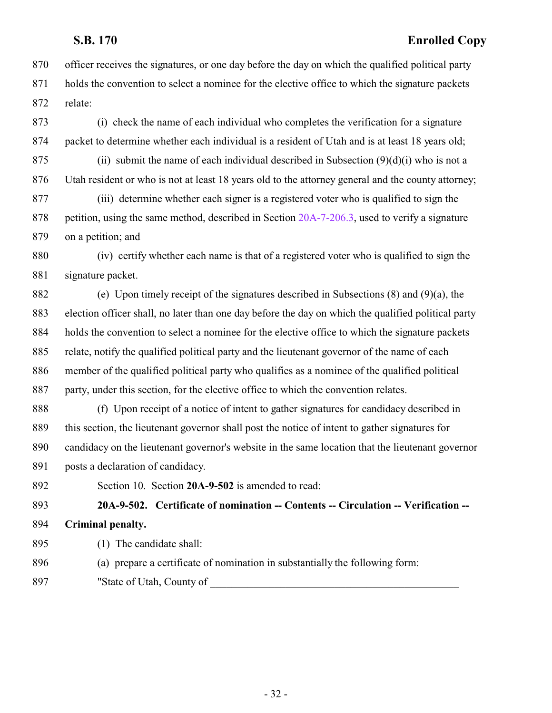- officer receives the signatures, or one day before the day on which the qualified political party holds the convention to select a nominee for the elective office to which the signature packets relate:
- (i) check the name of each individual who completes the verification for a signature packet to determine whether each individual is a resident of Utah and is at least 18 years old;
- 875 (ii) submit the name of each individual described in Subsection  $(9)(d)(i)$  who is not a Utah resident or who is not at least 18 years old to the attorney general and the county attorney;
- (iii) determine whether each signer is a registered voter who is qualified to sign the 878 petition, using the same method, described in Section [20A-7-206.3](http://le.utah.gov/UtahCode/SectionLookup.jsp?section=20a-7-206.3&session=2022GS), used to verify a signature on a petition; and
- (iv) certify whether each name is that of a registered voter who is qualified to sign the signature packet.
- (e) Upon timely receipt of the signatures described in Subsections (8) and (9)(a), the election officer shall, no later than one day before the day on which the qualified political party holds the convention to select a nominee for the elective office to which the signature packets relate, notify the qualified political party and the lieutenant governor of the name of each member of the qualified political party who qualifies as a nominee of the qualified political party, under this section, for the elective office to which the convention relates.
- (f) Upon receipt of a notice of intent to gather signatures for candidacy described in this section, the lieutenant governor shall post the notice of intent to gather signatures for candidacy on the lieutenant governor's website in the same location that the lieutenant governor posts a declaration of candidacy.
- <span id="page-31-0"></span>Section 10. Section **20A-9-502** is amended to read:

 **20A-9-502. Certificate of nomination -- Contents -- Circulation -- Verification -- Criminal penalty.**

- (1) The candidate shall:
- (a) prepare a certificate of nomination in substantially the following form:
- 897 "State of Utah, County of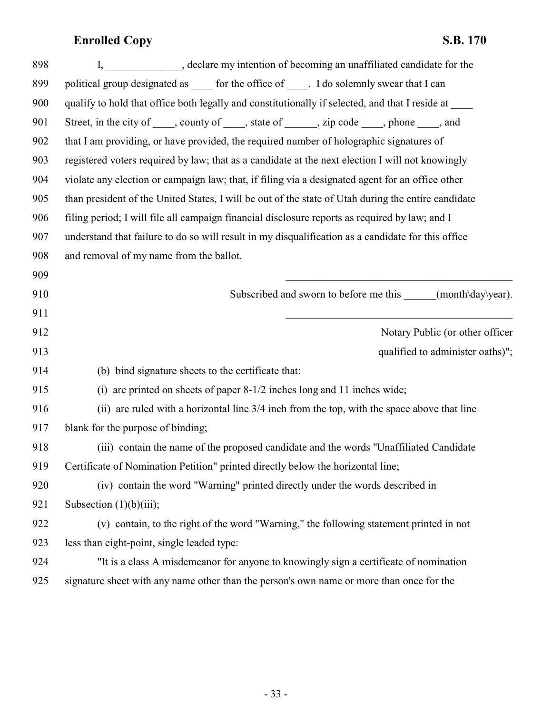| 898 | I, ______________, declare my intention of becoming an unaffiliated candidate for the                |
|-----|------------------------------------------------------------------------------------------------------|
| 899 | political group designated as ______ for the office of ______. I do solemnly swear that I can        |
| 900 | qualify to hold that office both legally and constitutionally if selected, and that I reside at ____ |
| 901 | Street, in the city of _____, county of _____, state of ______, zip code _____, phone ____, and      |
| 902 | that I am providing, or have provided, the required number of holographic signatures of              |
| 903 | registered voters required by law; that as a candidate at the next election I will not knowingly     |
| 904 | violate any election or campaign law; that, if filing via a designated agent for an office other     |
| 905 | than president of the United States, I will be out of the state of Utah during the entire candidate  |
| 906 | filing period; I will file all campaign financial disclosure reports as required by law; and I       |
| 907 | understand that failure to do so will result in my disqualification as a candidate for this office   |
| 908 | and removal of my name from the ballot.                                                              |
| 909 |                                                                                                      |
| 910 | Subscribed and sworn to before me this _____(month\day\year).                                        |
| 911 |                                                                                                      |
| 912 | Notary Public (or other officer                                                                      |
| 913 | qualified to administer oaths)";                                                                     |
| 914 | (b) bind signature sheets to the certificate that:                                                   |
| 915 | (i) are printed on sheets of paper 8-1/2 inches long and 11 inches wide;                             |
| 916 | (ii) are ruled with a horizontal line 3/4 inch from the top, with the space above that line          |
| 917 | blank for the purpose of binding;                                                                    |
| 918 | (iii) contain the name of the proposed candidate and the words "Unaffiliated Candidate"              |
| 919 | Certificate of Nomination Petition" printed directly below the horizontal line;                      |
| 920 | (iv) contain the word "Warning" printed directly under the words described in                        |
| 921 |                                                                                                      |
|     | Subsection $(1)(b)(iii)$ ;                                                                           |
| 922 | (v) contain, to the right of the word "Warning," the following statement printed in not              |
| 923 | less than eight-point, single leaded type:                                                           |
| 924 | "It is a class A misdemeanor for anyone to knowingly sign a certificate of nomination                |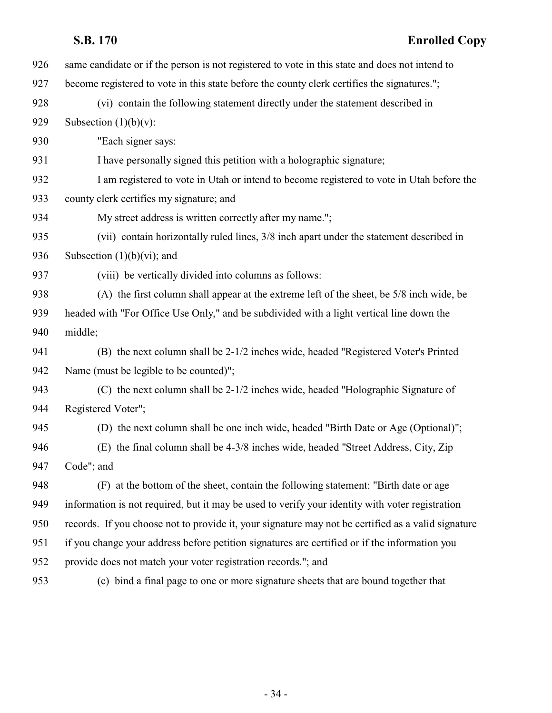| 926 | same candidate or if the person is not registered to vote in this state and does not intend to     |
|-----|----------------------------------------------------------------------------------------------------|
| 927 | become registered to vote in this state before the county clerk certifies the signatures.";        |
| 928 | (vi) contain the following statement directly under the statement described in                     |
| 929 | Subsection $(1)(b)(v)$ :                                                                           |
| 930 | "Each signer says:                                                                                 |
| 931 | I have personally signed this petition with a holographic signature;                               |
| 932 | I am registered to vote in Utah or intend to become registered to vote in Utah before the          |
| 933 | county clerk certifies my signature; and                                                           |
| 934 | My street address is written correctly after my name.";                                            |
| 935 | (vii) contain horizontally ruled lines, 3/8 inch apart under the statement described in            |
| 936 | Subsection $(1)(b)(vi)$ ; and                                                                      |
| 937 | (viii) be vertically divided into columns as follows:                                              |
| 938 | (A) the first column shall appear at the extreme left of the sheet, be 5/8 inch wide, be           |
| 939 | headed with "For Office Use Only," and be subdivided with a light vertical line down the           |
| 940 | middle;                                                                                            |
| 941 | (B) the next column shall be 2-1/2 inches wide, headed "Registered Voter's Printed                 |
| 942 | Name (must be legible to be counted)";                                                             |
| 943 | (C) the next column shall be 2-1/2 inches wide, headed "Holographic Signature of                   |
| 944 | Registered Voter";                                                                                 |
| 945 | (D) the next column shall be one inch wide, headed "Birth Date or Age (Optional)";                 |
| 946 | (E) the final column shall be 4-3/8 inches wide, headed "Street Address, City, Zip                 |
| 947 | Code"; and                                                                                         |
| 948 | (F) at the bottom of the sheet, contain the following statement: "Birth date or age                |
| 949 | information is not required, but it may be used to verify your identity with voter registration    |
| 950 | records. If you choose not to provide it, your signature may not be certified as a valid signature |
| 951 | if you change your address before petition signatures are certified or if the information you      |
| 952 | provide does not match your voter registration records."; and                                      |
| 953 | (c) bind a final page to one or more signature sheets that are bound together that                 |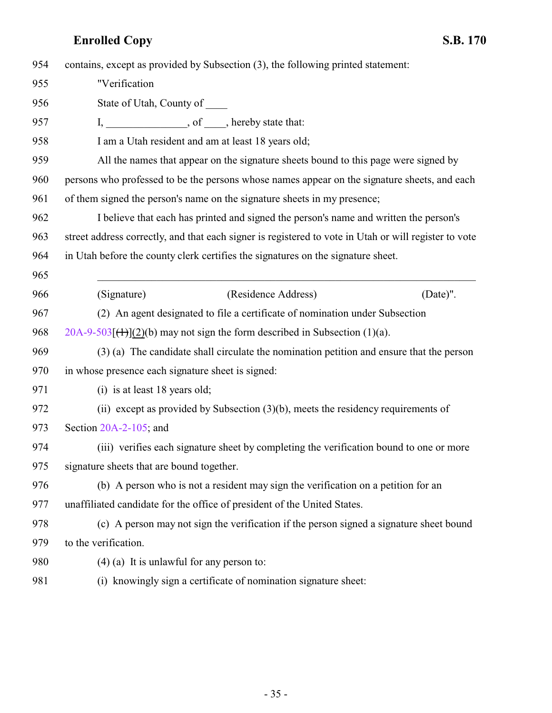| 954 | contains, except as provided by Subsection (3), the following printed statement:                      |
|-----|-------------------------------------------------------------------------------------------------------|
| 955 | "Verification                                                                                         |
| 956 | State of Utah, County of ______                                                                       |
| 957 | I, ______________________, of ______, hereby state that:                                              |
| 958 | I am a Utah resident and am at least 18 years old;                                                    |
| 959 | All the names that appear on the signature sheets bound to this page were signed by                   |
| 960 | persons who professed to be the persons whose names appear on the signature sheets, and each          |
| 961 | of them signed the person's name on the signature sheets in my presence;                              |
| 962 | I believe that each has printed and signed the person's name and written the person's                 |
| 963 | street address correctly, and that each signer is registered to vote in Utah or will register to vote |
| 964 | in Utah before the county clerk certifies the signatures on the signature sheet.                      |
| 965 |                                                                                                       |
| 966 | (Residence Address)<br>(Date)".<br>(Signature)                                                        |
| 967 | (2) An agent designated to file a certificate of nomination under Subsection                          |
| 968 | $20A-9-503$ [ $(+)$ ](2)(b) may not sign the form described in Subsection (1)(a).                     |
| 969 | (3) (a) The candidate shall circulate the nomination petition and ensure that the person              |
| 970 | in whose presence each signature sheet is signed:                                                     |
| 971 | (i) is at least 18 years old;                                                                         |
| 972 | (ii) except as provided by Subsection $(3)(b)$ , meets the residency requirements of                  |
| 973 | Section $20A-2-105$ ; and                                                                             |
| 974 | (iii) verifies each signature sheet by completing the verification bound to one or more               |
| 975 | signature sheets that are bound together.                                                             |
| 976 | (b) A person who is not a resident may sign the verification on a petition for an                     |
| 977 | unaffiliated candidate for the office of president of the United States.                              |
| 978 | (c) A person may not sign the verification if the person signed a signature sheet bound               |
| 979 | to the verification.                                                                                  |
| 980 | $(4)$ (a) It is unlawful for any person to:                                                           |
| 981 | (i) knowingly sign a certificate of nomination signature sheet:                                       |
|     |                                                                                                       |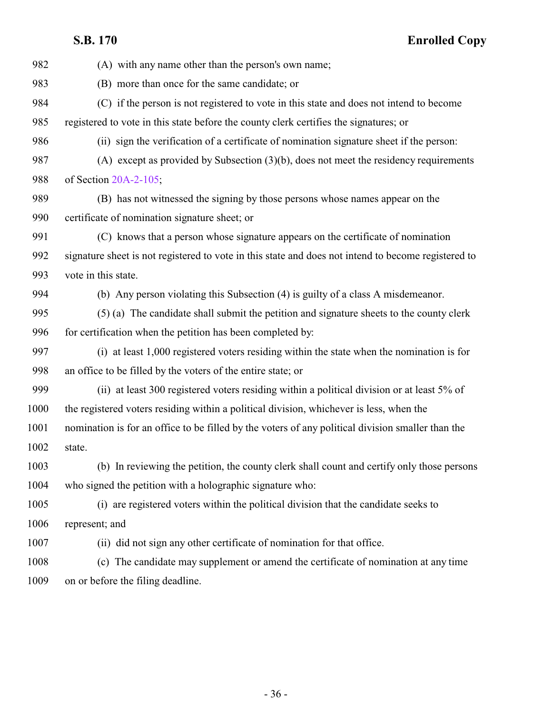|      | S.B. 170<br><b>Enrolled Copy</b>                                                                    |
|------|-----------------------------------------------------------------------------------------------------|
| 982  | (A) with any name other than the person's own name;                                                 |
| 983  | (B) more than once for the same candidate; or                                                       |
| 984  | (C) if the person is not registered to vote in this state and does not intend to become             |
| 985  | registered to vote in this state before the county clerk certifies the signatures; or               |
| 986  | (ii) sign the verification of a certificate of nomination signature sheet if the person:            |
| 987  | (A) except as provided by Subsection $(3)(b)$ , does not meet the residency requirements            |
| 988  | of Section 20A-2-105;                                                                               |
| 989  | (B) has not witnessed the signing by those persons whose names appear on the                        |
| 990  | certificate of nomination signature sheet; or                                                       |
| 991  | (C) knows that a person whose signature appears on the certificate of nomination                    |
| 992  | signature sheet is not registered to vote in this state and does not intend to become registered to |
| 993  | vote in this state.                                                                                 |
| 994  | (b) Any person violating this Subsection (4) is guilty of a class A misdemeanor.                    |
| 995  | (5) (a) The candidate shall submit the petition and signature sheets to the county clerk            |
| 996  | for certification when the petition has been completed by:                                          |
| 997  | (i) at least 1,000 registered voters residing within the state when the nomination is for           |
| 998  | an office to be filled by the voters of the entire state; or                                        |
| 999  | (ii) at least 300 registered voters residing within a political division or at least 5% of          |
| 1000 | the registered voters residing within a political division, whichever is less, when the             |
| 1001 | nomination is for an office to be filled by the voters of any political division smaller than the   |
| 1002 | state.                                                                                              |
| 1003 | (b) In reviewing the petition, the county clerk shall count and certify only those persons          |
| 1004 | who signed the petition with a holographic signature who:                                           |
| 1005 | (i) are registered voters within the political division that the candidate seeks to                 |
| 1006 | represent; and                                                                                      |
| 1007 | (ii) did not sign any other certificate of nomination for that office.                              |
| 1008 | (c) The candidate may supplement or amend the certificate of nomination at any time                 |

on or before the filing deadline.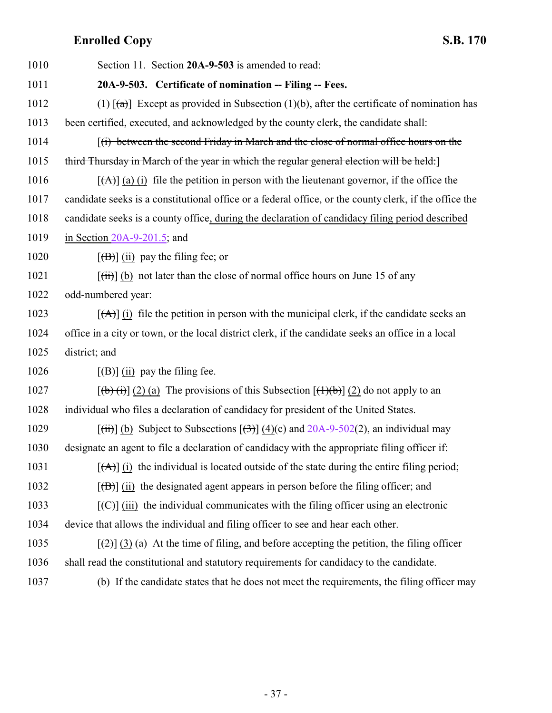<span id="page-36-0"></span>

| 1010 | Section 11. Section 20A-9-503 is amended to read:                                                                           |
|------|-----------------------------------------------------------------------------------------------------------------------------|
| 1011 | 20A-9-503. Certificate of nomination -- Filing -- Fees.                                                                     |
| 1012 | (1) $\lceil (a) \rceil$ Except as provided in Subsection (1)(b), after the certificate of nomination has                    |
| 1013 | been certified, executed, and acknowledged by the county clerk, the candidate shall:                                        |
| 1014 | (i) between the second Friday in March and the close of normal office hours on the                                          |
| 1015 | third Thursday in March of the year in which the regular general election will be held:                                     |
| 1016 | $[\vec{A}]$ (a) (i) file the petition in person with the lieutenant governor, if the office the                             |
| 1017 | candidate seeks is a constitutional office or a federal office, or the county clerk, if the office the                      |
| 1018 | candidate seeks is a county office, during the declaration of candidacy filing period described                             |
| 1019 | in Section $20A-9-201.5$ ; and                                                                                              |
| 1020 | $[\overline{(B)}]$ (ii) pay the filing fee; or                                                                              |
| 1021 | $[\overrightarrow{t})$ (b) not later than the close of normal office hours on June 15 of any                                |
| 1022 | odd-numbered year:                                                                                                          |
| 1023 | $[\vec{A}]$ (i) file the petition in person with the municipal clerk, if the candidate seeks an                             |
| 1024 | office in a city or town, or the local district clerk, if the candidate seeks an office in a local                          |
| 1025 | district; and                                                                                                               |
| 1026 | $[\overline{(B)}]$ (ii) pay the filing fee.                                                                                 |
| 1027 | $[\phi(\mathbf{t})$ (2) (a) The provisions of this Subsection $[\mathbf{t}(\mathbf{t})\mathbf{t}]$ (2) do not apply to an   |
| 1028 | individual who files a declaration of candidacy for president of the United States.                                         |
| 1029 | $[\overline{(\text{iii})}]$ (b) Subject to Subsections $[\overline{(\text{3})}]$ (4)(c) and 20A-9-502(2), an individual may |
| 1030 | designate an agent to file a declaration of candidacy with the appropriate filing officer if:                               |
| 1031 | $[\vec{A}]$ (i) the individual is located outside of the state during the entire filing period;                             |
| 1032 | $[\overline{(B)}]$ (ii) the designated agent appears in person before the filing officer; and                               |
| 1033 | $[\text{(\textcircled{f})}]$ (iii) the individual communicates with the filing officer using an electronic                  |
| 1034 | device that allows the individual and filing officer to see and hear each other.                                            |
| 1035 | $[\frac{1}{2}]$ (3) (a) At the time of filing, and before accepting the petition, the filing officer                        |
| 1036 | shall read the constitutional and statutory requirements for candidacy to the candidate.                                    |
| 1037 | (b) If the candidate states that he does not meet the requirements, the filing officer may                                  |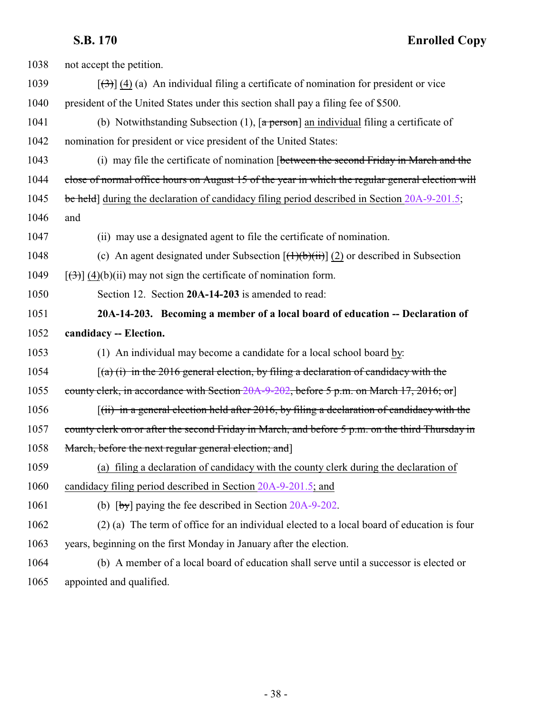<span id="page-37-0"></span>

| 1038 | not accept the petition.                                                                                                            |
|------|-------------------------------------------------------------------------------------------------------------------------------------|
| 1039 | $[\langle 3\rangle]$ (4) (a) An individual filing a certificate of nomination for president or vice                                 |
| 1040 | president of the United States under this section shall pay a filing fee of \$500.                                                  |
| 1041 | (b) Notwithstanding Subsection (1), $\lceil a \frac{\text{person}}{\text{ar} \cdot a} \rceil$ an individual filing a certificate of |
| 1042 | nomination for president or vice president of the United States:                                                                    |
| 1043 | (i) may file the certificate of nomination [between the second Friday in March and the                                              |
| 1044 | close of normal office hours on August 15 of the year in which the regular general election will                                    |
| 1045 | be held) during the declaration of candidacy filing period described in Section 20A-9-201.5;                                        |
| 1046 | and                                                                                                                                 |
| 1047 | (ii) may use a designated agent to file the certificate of nomination.                                                              |
| 1048 | (c) An agent designated under Subsection $[(1)(b)(ii)]$ (2) or described in Subsection                                              |
| 1049 | $[\left(\frac{1}{2}\right)]$ (4)(b)(ii) may not sign the certificate of nomination form.                                            |
| 1050 | Section 12. Section 20A-14-203 is amended to read:                                                                                  |
| 1051 | 20A-14-203. Becoming a member of a local board of education -- Declaration of                                                       |
| 1052 | candidacy -- Election.                                                                                                              |
| 1053 | (1) An individual may become a candidate for a local school board by:                                                               |
| 1054 | $(a)$ (i) in the 2016 general election, by filing a declaration of candidacy with the                                               |
| 1055 | county clerk, in accordance with Section 20A-9-202, before 5 p.m. on March 17, 2016; or]                                            |
| 1056 | $(iii)$ in a general election held after 2016, by filing a declaration of candidacy with the                                        |
| 1057 | county clerk on or after the second Friday in March, and before 5 p.m. on the third Thursday in                                     |
| 1058 | March, before the next regular general election; and                                                                                |
| 1059 | (a) filing a declaration of candidacy with the county clerk during the declaration of                                               |
| 1060 | candidacy filing period described in Section 20A-9-201.5; and                                                                       |
| 1061 | (b) $[by]$ paying the fee described in Section 20A-9-202.                                                                           |
| 1062 | (2) (a) The term of office for an individual elected to a local board of education is four                                          |
| 1063 | years, beginning on the first Monday in January after the election.                                                                 |
| 1064 | (b) A member of a local board of education shall serve until a successor is elected or                                              |
| 1065 | appointed and qualified.                                                                                                            |